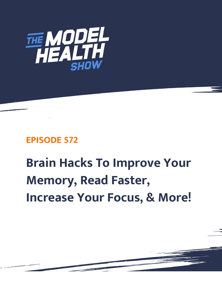

# **EPISODE 572**

# **Brain Hacks To Improve Your Memory, Read Faster, Increase Your Focus, & More!**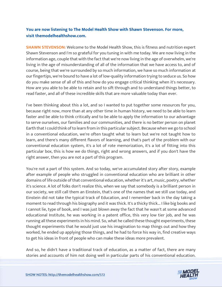# **You are now listening to The Model Health Show with Shawn Stevenson. For more, visit themodelhealthshow.com.**

**SHAWN STEVENSON:** Welcome to the Model Health Show, this is fitness and nutrition expert Shawn Stevenson and I'm so grateful for you tuning in with me today. We are now living in the information age, couple that with the fact that we're now living in the age of overwhelm, we're living in the age of misunderstanding of all of the information that we have access to, and of course, being that we're surrounded by so much information, we have so much information at our fingertips, we're bound to have a lot of low-quality information trying to seduce us. So how do you make sense of all of this and how do you engage critical thinking when it's necessary. How are you able to be able to retain and to sift through and to understand things better, to read faster, and all of these incredible skills that are more valuable today than ever.

I've been thinking about this a lot, and so I wanted to put together some resources for you, because right now, more than at any other time in human history, we need to be able to learn faster and be able to think critically and to be able to apply the information to our advantage to serve ourselves, our families and our communities, and there is no better person on planet Earth that I could think of to learn from in this particular subject. Because when we go to school in a conventional education, we're often taught what to learn but we're not taught how to learn, and there's many different flavors of learning, and that's part of the problem with our conventional education system, it's a lot of rote memorization, it's a lot of fitting into this particular box, this is how we do things, right and wrong answers, and if you don't have the right answer, then you are not a part of this program.

You're not a part of this system. And so today, we've accumulated story after story, example after example of people who struggled in conventional education who are brilliant in other domains of life outside of that conventional education, whether it's art, music, poetry, whether it's science. A lot of folks don't realize this, when we say that somebody is a brilliant person in our society, we still call them an Einstein, that's one of the names that we still use today, and Einstein did not take the typical track of Education, and I remember back in the day taking a moment to read through his biography and it was thick. It's a thicky thick... I like big books and I cannot lie, type of book, and I was just blown away the fact that he wasn't at some advanced educational Institute, he was working in a patent office, this very low tier job, and he was running all these experiments in his mind. So, what he called these thought experiments, these thought experiments that he would just use his imagination to map things out and how they worked, he ended up applying those things, and he had to force his way in, find creative ways to get his ideas in front of people who can make these ideas more prevalent.

And so, he didn't have a traditional track of education, as a matter of fact, there are many [stories and accounts of him not doing well in particular parts of his conventional education.](https://themodelhealthshow.com/increase-focus/) 

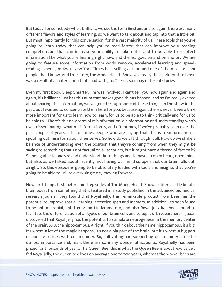But today, for somebody who's brilliant, we use the term Einstein, and so again, there are many different flavors and styles of learning, so we want to talk about and tap into that a little bit. But most importantly for this conversation, for the vast majority of us. These tools that you're going to learn today that can help you to read faster, that can improve your reading comprehension, that can increase your ability to take notes and to be able to recollect information like what you're hearing right now, and the list goes on and on and on. We are going to feature some information from world renown, accelerated learning and speedreading expert, Jim Kwik, New York Times best-selling author, and one of the most brilliant people that I know. And true story, the Model Health Show was really the spark for it to begin was a result of an interaction that I had with Jim. There's so many different stories.

Even my first book, Sleep Smarter, Jim was involved. I can't tell you how again and again and again, his brilliance just has this aura that makes good things happen, and so I'm really excited about sharing this information, we've gone through some of these things on the show in the past, but I wanted to concentrate them here for you, because again, there's never been a time more important for us to learn how to learn, for us to be able to think critically and for us to be able to... There's this new term of misinformation, disinformation and understanding who's even disseminating, what misinformation is, and oftentimes, if we've probably seen over the past couple of years, a lot of times people who are saying that this is misinformation is spouting out misinformation themselves. So how do we sift through it all. How do we strike a balance of understanding even the position that they're coming from when they might be saying to something that's not factual on all accounts, but it might have a thread of fact to it? So being able to analyze and understand these things and to have an open heart, open mind, but also, as we talked about recently, not having our mind so open that our brain falls out, alright. So, this episode is going to be absolutely loaded with tools and insights that you're going to be able to utilize every single day moving forward.

Now, first things first, before most episodes of The Model Health Show, I utilize a little bit of a brain boost from something that is featured in a study published in the advanced biomedical research journal, they found that Royal jelly, this remarkable product from bees has the potential to improve spatial learning, attention span and memory. In addition, it's been found to be anti-microbial, anti-tumor, anti-inflammatory, and also Royal Jelly has been found to facilitate the differentiation of all types of our brain cells and to top it off, researchers in Japan discovered that Royal jelly has the potential to stimulate neurogenesis in the memory center of the brain, AKA the hippocampus. Alright, if you think about the name hippocampus, it's big. It's where a lot of the magic happens, it's not a big part of the brain, but it's where a big part of our life resides with our memory. So, cultivating and supporting our memory is of the utmost importance and, man, there are so many wonderful accounts, Royal jelly has been prized for thousands of years. The Queen Bee, this is what the Queen Bee is about, exclusively [fed Royal jelly, the queen bee lives on average one to two years, whereas the worker bees are](https://themodelhealthshow.com/increase-focus/)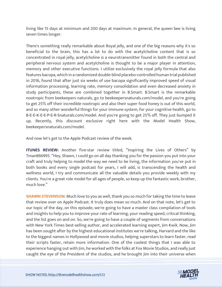living like 15 days at minimum and 200 days at maximum. In general, the queen bee is living seven times longer.

There's something really remarkable about Royal jelly, and one of the big reasons why it's so beneficial to the brain, this has a lot to do with the acetylcholine content that is so concentrated in royal jelly, acetylcholine is a neurotransmitter found in both the central and peripheral nervous system and acetylcholine is thought to be a major player in attention, memory and other executive functions. I utilize exclusively the royal jelly formula that also features bacopa, which in a randomized double-blind placebo-controlled human trial published in 2016, found that after just six weeks of use bacopa significantly improved speed of visual information processing, learning rate, memory consolidation and even decreased anxiety in study participants, these are combined together in B.Smart. B.Smart is the remarkable nootropic from beekeepers naturals, go to beekeepersnaturals.com/model, and you're going to get 25% off their incredible nootropic and also their super food honey is out of this world, and so many other wonderful things for your immune system, for your cognitive health, go to B-E-E-K-E-E-P-E-R-Snaturals.com/model. And you're going to get 25% off. They just bumped it up. Recently, this discount exclusive right here with the Model Health Show, beekeepersnaturals.com/model.

And now let's get to the Apple Podcast review of the week.

**ITUNES REVIEW:** Another five-star review titled, "Inspiring the Lives of Others" by Tman866995. "Hey, Shawn, I could go on all day thanking you for the passion you put into your craft and truly helping to model the way we need to be living, the information you've put in both books and every single podcast for years, I will add, is transcending the health and wellness world, I try and communicate all the valuable details you provide weekly with my clients. You're a great role model for all ages of people, so keep up the fantastic work, brother, much love."

**SHAWN STEVENSON:** Much love to you as well, thank you so much for taking the time to leave that review over on Apple Podcast. It truly does mean so much. And on that note, let's get to our topic of the day, on this episode, we're going to have a master class compilation of tools and insights to help you to improve your rate of learning, your reading speed, critical thinking, and the list goes on and on. So, we're going to have a couple of segments from conversations with New York Times best-selling author, and accelerated learning expert, Jim Kwik. Now, Jim has been sought after by the highest educational institutes we're talking, Harvard and the like to the biggest names in Hollywood and movie studios, helping superstars to learn faster, read their scripts faster, retain more information. One of the coolest things that I was able to experience hanging out with Jim, he worked with the folks at Fox Movie Studios, and really just [caught the eye of the President of the studios, and he brought Jim into their universe when](https://themodelhealthshow.com/increase-focus/)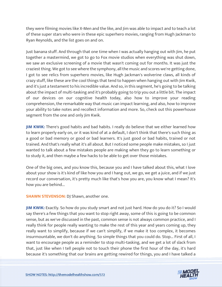they were filming movies like X-Men and the like, and Jim was able to impact and to teach a lot of these super stars who were in these epic superhero movies, ranging from Hugh Jackman to Ryan Reynolds, and the list goes on and on.

Just banana stuff. And through that one time when I was actually hanging out with Jim, he put together a mastermind, we got to go to Fox movie studios when everything was shut down, we saw an exclusive screening of a movie that wasn't coming out for months. It was just the craziest thing. We got to see where the symphony, all the music and scores we're getting done, I got to see relics from superhero movies, like Hugh Jackman's wolverine claws, all kinds of crazy stuff, like these are the cool things that tend to happen when hanging out with Jim Kwik, and it's just a testament to his incredible value. And so, in this segment, he's going to be talking about the impact of multi-tasking and it's probably going to trip you out a little bit. The impact of our devices on our cognitive health today, also how to improve your reading comprehension, the remarkable way that music can impact learning, and also, how to improve your ability to take notes and recollect information and more. So, check out this powerhouse segment from the one and only Jim Kwik.

**JIM KWIK:** There's good habits and bad habits. I really do believe that we either learned how to learn properly early on, or it was kind of at a default, I don't think that there's such thing as a good or bad memory or good or bad learners. It's just good or bad habits, trained or not trained. And that's really what it's all about. But I noticed some people make mistakes, so I just wanted to talk about a few mistakes people are making when they go to learn something or to study it, and then maybe a few hacks to be able to get over those mistakes.

One of the big ones, and you know this, because you and I have talked about this, what I love about your show is it's kind of like how you and I hang out, we go, we get a juice, and if we just record our conversation, it's pretty much like that's how you are, you know what I mean? It's how you are behind...

**SHAWN STEVENSON: DJ Shawn, another one.** 

**JIM KWIK:** Exactly. So how do you study smart and not just hard. How do you do it? So I would say there's a few things that you want to stop right away, some of this is going to be common sense, but as we've discussed in the past, common sense is not always common practice, and I really think for people really wanting to make the rest of this year and years coming up, they really want to simplify, because if we can't simplify, if we make it too complex, it becomes insurmountable, we don't do anything. So simple things that you could do. Stop... First of all, I want to encourage people as a reminder to stop multi-tasking, and we get a lot of slack from that, just like when I tell people not to touch their phone the first hour of the day, it's hard [because it](https://themodelhealthshow.com/increase-focus/)'[s something that our brains are getting rewired for things, you and I have talked a](https://themodelhealthshow.com/increase-focus/)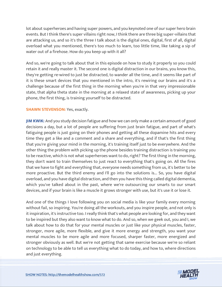lot about superheroes and having super powers, and you keynoted one of our super hero brain events. But I think there's super villains right now, I think there are three big super-villains that are attacking us, and so it's the three I talk about is the digital ones, digital, first of all, digital overload what you mentioned, there's too much to learn, too little time, like taking a sip of water out of a firehose. How do you keep up with it all?

And so, we're going to talk about that in this episode on how to study it properly so you could retain it and really master it. The second one is digital distraction in our brains, you know this, they're getting re-wired to just be distracted, to wander all the time, and it seems like part of it is these smart devices that you mentioned in the intro, it's rewiring our brains and it's a challenge because of the first thing in the morning when you're in that very impressionable state, that alpha theta state in the morning at a relaxed state of awareness, picking up your phone, the first thing, is training yourself to be distracted.

# **SHAWN STEVENSON: Yes, exactly.**

**JIM KWIK:** And you study decision fatigue and how we can only make a certain amount of good decisions a day, but a lot of people are suffering from just brain fatigue, and part of what's fatiguing people is just going on their phones and getting all these dopamine hits and every time they get a like and a comment and a share and everything, and if that's the first thing that you're giving your mind in the morning, it's training itself just to be everywhere. And the other thing the problem with picking up the phone besides training distraction is training you to be reactive, which is not what superheroes want to do, right? The first thing in the morning, they don't want to train themselves to just react to everything that's going on. All the fires that we have to fight and everything that, everyone needs something from us, it's better to be more proactive. But the third enemy and I'll go into the solutions is... So, you have digital overload, and you have digital distraction, and then you have this thing called digital dementia, which you've talked about in the past, where we're outsourcing our smarts to our smart devices, and if your brain is like a muscle it grows stronger with use, but it's use it or lose it.

And one of the things I love following you on social media is like your family every morning without fail, so inspiring. You're doing all the workouts, and you inspire people, and not only is it inspiration, it's instructive too. I really think that's what people are looking for, and they want to be inspired but they also want to know what to do. And so, when we geek out, you and I, we talk about how to do that for your mental muscles or just like your physical muscles, faster, stronger, more agile, more flexible, and give it more energy and strength, you want your mental muscles to be more agile and more focused, sharper faster, more energized and stronger obviously as well. But we're not getting that same exercise because we're so reliant on technology to be able to tell us everything what to do today, and how to, where directions [and just everything.](https://themodelhealthshow.com/increase-focus/)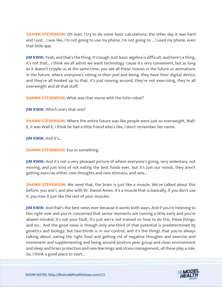**SHAWN STEVENSON:** Oh man, I try to do some basic calculations, the other day it was hard and I just... I was like, I'm not going to use my phone, I'm not going to ... I used my phone, even that little app.

**JIM KWIK:** Yeah, and that's the thing. It's tough. Just basic algebra is difficult, and here's a thing, it's not that... I think we all admit we want technology 'cause it's very convenient, but as long as it doesn't cripple us at the same time, you see all these movies in the future or animations in the future, where everyone's sitting in their pod and being, they have their digital device, and they're all hooked up to that, it's just moving around, they're not exercising, they're all overweight and all that stuff.

**SHAWN STEVENSON:** What was that movie with the little robot?

**JIM KWIK:** Which one's that one?

**SHAWN STEVENSON:** Where the entire future was like people were just so overweight, Wall-E, it was Wall-E, I think he had a little friend who's like, I don't remember her name.

**JIM KWIK: And it's...** 

**SHAWN STEVENSON:** Eva or something.

**JIM KWIK:** And it's not a very pleasant picture of where everyone's going, very sedentary, not moving, and just kind of not eating the best foods ever, but it's just our minds, they aren't getting exercise either, new thoughts and new stimulus, and new...

**SHAWN STEVENSON:** We need that, the brain is just like a muscle. We've talked about this before, you and I, and also with Dr. Daniel Amen. It's a muscle that is basically, if you don't use it, you lose it just like the rest of your muscles.

**JIM KWIK:** And that's the best news ever because it works both ways. And if you're listening to this right now and you're concerned that senior moments are coming a little early and you're absent-minded, it's not your fault, it's just we're not trained on how to do this, these things, and on... And the good news is though only one-third of that potential is predetermined by genetics and biology, but two-thirds is in our control, and it's the things that you're always talking about, eating the right food and getting rid of negative thoughts and exercise and movement and supplementing and being around positive peer group and clean environment and sleep and brain protection and new learnings and stress management, all these play a role. [So, I think a good place to start...](https://themodelhealthshow.com/increase-focus/)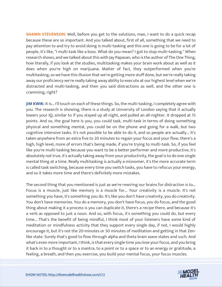**SHAWN STEVENSON:** Well, before you get to the solutions, man, I want to do a quick recap because these are so important. And you talked about, first of all, something that we need to pay attention to and try to avoid doing is multi-tasking and this one is going to be for a lot of people, it's like, "I multi-task like a boss. What do you mean? I got to stop multi-tasking." When research shows, and we talked about this with Jay Papasan, who is the author of The One Thing, how literally, if you look at the studies, multitasking makes your brain work about as well as it does when you're high on marijuana. Matter of fact, they outperformed when you're multitasking, so we have this illusion that we're getting more stuff done, but we're really taking away our proficiency we're really taking away ability to execute at our highest level when we're distracted and multi-tasking, and then you said distractions as well, and the other one is cramming, right?

**JIM KWIK:** It is... I'll touch on each of these things. So, the multi-tasking, I completely agree with you. The research is showing, there is a study at University of London saying that it actually lowers your IQ, similar to if you stayed up all night, and pulled an all-nighter. It dropped at 15 points. And so, the goal here is you, you could task, multi-task in terms of doing something physical and something mental, you could be on the phone and going for a walk, but two cognitive intensive tasks. It's not possible to be able to do it, and so people are actually... It's taken anywhere from an extra five to 20 minutes to regain your focus and your flow, there's a high, high level, more of errors that's being made, if you're trying to multi-task. So, if you feel like you're multi-tasking because you want to be a better performer and more productive, it's absolutely not true, it's actually taking away from your productivity, the goal is to do one single mental thing at a time. Really multitasking is actually a misnomer, it's the more accurate term is called task switching, because every time you switch tasks, you have to refocus your energy, and so it takes more time and there's definitely more mistakes.

The second thing that you mentioned is just as we're rewiring our brains for distraction is to... Focus is a muscle, just like memory is a muscle for... Your creativity is a muscle. It's not something you have, it's something you do. It's like you don't have creativity, you do creativity. You don't have memories. You do a memory, you don't have focus, you do focus, and the good thing about making it a process is you can duplicate it, there's a recipe there, and because it's a verb as opposed to just a noun. And so, with focus, it's something you could do, but every time... That's the benefit of being mindful, I think most of your listeners have some kind of meditation or mindfulness activity that they support every single day, if not, I would highly encourage it, but it's not the 20-minutes or 30 minutes of meditation and getting in that Zenlike state. Surely that's good to flow through alpha and theta brain wave states and such. And what's even more important, I think, is that every single time you lose your focus, and you bring it back in to a thought or to a mantra, to a point or to a space or to an energy or gratitude, a [feeling, a breath, and then you exercise, you build your mental focus, your focus muscles.](https://themodelhealthshow.com/increase-focus/)

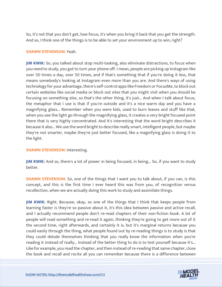So, it's not that you don't get, lose focus, it's when you bring it back that you get the strength. And so, I think one of the things is to be able to set your environment up to win, right?

#### **SHAWN STEVENSON:** Yeah.

**JIM KWIK:** So, you talked about stop multi-tasking, also eliminate distractions, to focus when you need to study, you got to turn your phone off. I mean, people are picking up Instagram like over 50 times a day, over 50 times, and if that's something that if you're doing it less, that means somebody's looking at Instagram even more than you are. And there's ways of using technology for your advantage, there's self-control apps like Freedom or FocusMe, to block out certain websites like social media or block out sites that you might visit when you should be focusing on something else, so that's the other thing, it's just... And when I talk about focus, the metaphor that I use is that if you're outside and it's a nice warm day and you have a magnifying glass... Remember when you were kids, used to burn leaves and stuff like that, when you see the light go through the magnifying glass, it creates a very bright focused point there that is very highly concentrated. And it's interesting that the word bright describes it because it also... We use the word bright to describe really smart, intelligent people, but maybe they're not smarter, maybe they're just better focused, like a magnifying glass is doing it to the light.

#### **SHAWN STEVENSON: Interesting.**

**JIM KWIK:** And so, there's a lot of power in being focused, in being... So, if you want to study better.

**SHAWN STEVENSON:** So, one of the things that I want you to talk about, if you can, is this concept, and this is the first time I ever heard this was from you, of recognition versus recollection, when we are actually doing this work to study and assimilate things.

**JIM KWIK:** Right. Because, okay, so one of the things that I think that keeps people from learning faster is they're so passive about it, it's this idea between passive and active recall, and I actually recommend people don't re-read chapters of their non-fiction book. A lot of people will read something and re-read it again, thinking they're going to get more out of it the second time, right afterwards, and certainly it is, but it's marginal returns because you could easily through the thing, what people found out by re-reading things is to study is that they could delude themselves thinking that you really know the information when you're reading it instead of really... Instead of the better thing to do is to test yourself because it's... Like for example, you read the chapter, and then instead of re-reading that same chapter, close [the book and recall and recite all you can remember because there is a difference between](https://themodelhealthshow.com/increase-focus/)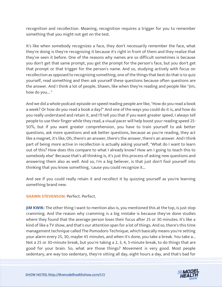recognition and recollection. Meaning, recognition requires a trigger for you to remember something that you might not get on the test.

It's like when somebody recognizes a face, they don't necessarily remember the face, what they're doing is they're recognizing it because it's right in front of them and they realize that they've seen it before. One of the reasons why names are so difficult sometimes is because you don't get that same prompt, you get the prompt for the person's face, but you don't get that prompt or that trigger for the person's name. And so, studying actively with focus on recollection as opposed to recognizing something, one of the things that best do that is to quiz yourself, read something and then ask yourself these questions because often questions are the answer. And I think a lot of people, Shawn, like when they're reading and people like "Jim, how do you... "

And we did a whole podcast episode on speed reading people are like, "How do you read a book a week? Or how do you read a book a day?" And one of the ways you could do it is, and how do you really understand and retain it, and I'll tell you that if you want greater speed, I always tell people to use their finger while they read, a visual pacer will help boost your reading speed 25- 50%, but if you want greater comprehension, you have to train yourself to ask better questions, ask more questions and ask better questions, because as you're reading, they act like a magnet, it's like, Oh, there's an answer, there's the answer, there's an answer. And I think part of being more active in recollection is actually asking yourself, "What do I want to learn out of this? How does this compare to what I already know? How am I going to teach this to somebody else" Because that's all thinking is, it's just this process of asking new questions and answering them also as well. And so, I'm a big believer, is that just don't fool yourself into thinking that you know something, 'cause you could recognize it...

And see if you could really retain it and recollect it by quizzing yourself as you're learning something brand new.

**SHAWN STEVENSON:** Perfect. Perfect.

**JIM KWIK:** The other thing I want to mention also is, you mentioned this at the top, is just stop cramming. And the reason why cramming is a big mistake is because they've done studies where they found that the average person loses their focus after 25 or 30 minutes. It's like a kind of like a TV show, and that's our attention span for a lot of things. And so, there's this time management technique called The Pomodoro Technique, which basically means you're setting your alarm every 25, 30, maybe 45 minutes, and when it's done, you take a break. You take a... Not a 25 or 30-minute break, but you're taking a 2, 3, 4, 5-minute break, to do things that are good for your brain. So, what are those things? Movement is very good. Most people [sedentary, are way too sedentary, they](https://themodelhealthshow.com/increase-focus/)'[re sitting all day, eight hours a day, and that](https://themodelhealthshow.com/increase-focus/)'[s bad for](https://themodelhealthshow.com/increase-focus/) 

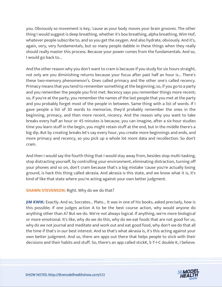you. Obviously so movement is key, 'cause as your body moves your brain grooves. The other thing I would suggest is deep breathing, whether it's box breathing, alpha breathing, Wim Hof, whatever people subscribe to, and so you get the oxygen. And also hydrate, obviously. And it's, again, very, very fundamentals, but so many people dabble in these things when they really should really master this process. Because your power comes from the fundamentals. And so, I would go back to...

And the other reason why you don't want to cram is because if you study for six hours straight, not only are you diminishing returns because your focus after past half an hour is... There's these two-memory phenomenon's. Ones called primacy and the other one's called recency. Primacy means that you tend to remember something at the beginning; so, if you go to a party and you remember the people you first met. Recency says you remember things more recent; so, if you're at the party, you remember the names of the last people that you met at the party and you probably forget most of the people in between. Same thing with a list of words. If I gave people a list of 30 words to memorize, they'd probably remember the ones in the beginning, primacy, and then more recent, recency. And the reason why you want to take breaks every half an hour or 45 minutes is because, you can imagine, after a six-hour studies time you learn stuff in the begin, you might retain stuff at the end, but in the middle there's a big dip. But by creating breaks let's say every hour, you create more beginnings and ends, and more primacy and recency, so you pick up a whole lot more data and recollection. So don't cram.

And then I would say the fourth thing that I would stay away from, besides stop multi-tasking, stop distracting yourself, by controlling your environment, eliminating distraction, turning off your phones and so on, don't cram because that's a big mistake 'cause you're actually losing ground, is hack this thing called akrasia. And akrasia is this state, and we know what it is, it's kind of like that state where you're acting against your own better judgment.

# **SHAWN STEVENSON:** Right. Why do we do that?

**JIM KWIK:** Exactly. And so, Socrates... Plato... It was in one of his books, asked precisely, how is this possible; if one judges action A to be the best course action, why would anyone do anything other than A? But we do. We're not always logical. If anything, we're more biological or more emotional. It's like, why do we do this, why do we eat foods that are not good for us, why do we not journal and meditate and work out and eat good food, why don't we do that all the time if that's in our best interest. And so that's what akrasia is, it's this acting against your own better judgment. And so, there are apps out there that helps people to stick with their decisions and their habits and stuff. So, there's an app called stickK, S-T-I-C double K, I believe.

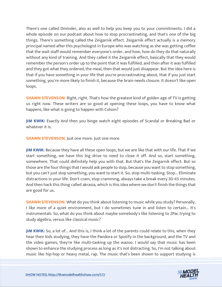There's one called Dminder, also as well to help you keep you to your commitments. I did a whole episode on our podcast about how to stop procrastinating, and that's one of the big things. There's something called the Zeigarnik effect. Zeigarnik effect actually is a memory principal named after this psychologist in Europe who was watching as she was getting coffee that the wait staff would remember everyone's order, and how, how do they do that naturally without any kind of training. And they called it the Zeigarnik effect, basically that they would remember the person's order up to the point that it was fulfilled, and then after it was fulfilled and they got what they ordered, the meal, then that would just disappear. But the idea here is that if you have something in your life that you're procrastinating about, that if you just start something, you're more likely to finish it, because the brain needs closure. It doesn't like open loops.

**SHAWN STEVENSON:** Right, right. That's how the greatest kind of golden age of TV is getting us right now. These writers are so good at opening these loops, you have to know what happens, like what is going to happen with Colson?

**JIM KWIK:** Exactly And then you binge watch eight episodes of Scandal or Breaking Bad or whatever it is.

**SHAWN STEVENSON: Just one more. Just one more.** 

**JIM KWIK:** Because they have all these open loops, but we are like that with our life. That if we start something, we have this big drive to need to close it off. And so, start something, somewhere. That could definitely help you with that. But that's the Zeigarnik effect. But so those are the four things that I would ask people to stop, because you want to stop something, but you can't just stop something, you want to start it. So, stop multi-tasking. Stop... Eliminate distractions in your life. Don't cram, stop cramming, always take a break every 30-45 minutes. And then hack this thing called akrasia, which is this idea where we don't finish the things that are good for us.

**SHAWN STEVENSON:** What do you think about listening to music while you study? Personally, I like more of a quiet environment, but I do sometimes tune in and listen to certain... It's instrumentals. So, what do you think about maybe somebody's like listening to 2Pac trying to study algebra, versus like classical music?

**JIM KWIK:** So, a lot of... And this is, I think a lot of the parents could relate to this, when they hear their kids studying, they have the Pandora or Spotify in the background, and the TV and the video games, they're like multi-tasking up the wazoo. I would say that music has been shown to enhance the studying process as long as it's not distracting. So, I'm not talking about [music like hip-hop or heavy metal, rap. The music that](https://themodelhealthshow.com/increase-focus/)'[s been shown to support studying is](https://themodelhealthshow.com/increase-focus/)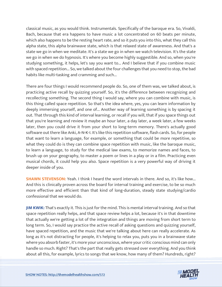classical music, as you would think. Instrumentals. Specifically of the baroque era. So, Vivaldi, Bach, because that era happens to have music a lot concentrated on 60 beats per minute, which also happens to be the resting heart rate, and so it puts you into this, what they call this alpha state, this alpha brainwave state, which is that relaxed state of awareness. And that's a state we go in when we meditate. It's a state we go in when we watch television. It's the state we go in when we do hypnosis. It's where you become highly suggestible. And so, when you're studying something, it helps, let's say you want to... And I believe that if you combine music with spaced repetition... So, we talked about the four challenges that you need to stop, the bad habits like multi-tasking and cramming and such...

There are four things I would recommend people do. So, one of them was, we talked about, is practicing active recall by quizzing yourself. So, it's the difference between recognizing and recollecting something. The second thing I would say, where you can combine with music, is this thing called space repetition. So that's the idea where, yes, you can learn information by deeply immersing yourself, and one of... Another way of learning something is by spacing it out. That through this kind of interval learning, or recall if you will, that if you space things out that you're learning and review it maybe an hour later, a day later, a week later, a few weeks later, then you could drive it from your short to long-term memory. There's actually good software out there like Anki, A-N-K-I. It's like this repetition software, flash cards. So, for people that want to learn a language, for example, or something that could be more repetitive, so what they could do is they can combine space repetition with music, like the baroque music, to learn a language, to study for the medical law exams, to memorize names and faces, to brush up on your geography, to master a poem or lines in a play or in a film. Practicing even musical chords, it could help you also. Space repetition is a very powerful way of driving it deeper inside of you.

**SHAWN STEVENSON:** Yeah. I think I heard the word intervals in there. And so, it's like how... And this is clinically proven across the board for interval training and exercise, to be so much more effective and efficient than that kind of long-duration, steady state studying/cardio confessional that we would do.

**JIM KWIK:** That's exactly it. This is just for the mind. This is mental interval training. And so that space repetition really helps, and that space review helps a lot, because it's in that downtime that actually we're getting a lot of the integration and things are moving from short term to long term. So, I would say practice the active recall of asking questions and quizzing yourself, have spaced repetition, and the music that we're talking about here can really accelerate. As long as it's not distracting for people, it's helping to relax you, puts you in a brainwave state where you absorb faster, it's more your unconscious, where your critic conscious mind can only handle so much. Right? That's the part that really gets stressed over everything. And you think [about all this, for example, lyrics to songs that we know, how many of them? Hundreds, right?](https://themodelhealthshow.com/increase-focus/)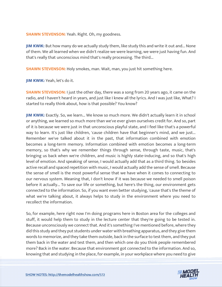**SHAWN STEVENSON:** Yeah. Right. Oh, my goodness.

**JIM KWIK:** But how many do we actually study them, like study this and write it out and... None of them. We all learned when we didn't realize we were learning, we were just having fun. And that's really that unconscious mind that's really processing. The third...

**SHAWN STEVENSON:** Holy smokes, man. Wait, man, you just hit something here.

**JIM KWIK:** Yeah, let's do it.

**SHAWN STEVENSON:** I just the other day, there was a song from 20 years ago, it came on the radio, and I haven't heard in years, and just like I knew all the lyrics. And I was just like, What? I started to really think about, how is that possible? You know?

**JIM KWIK:** Exactly. So, we learn... We know so much more. We didn't actually learn it in school or anything, we learned so much more than we've ever given ourselves credit for. And so, part of it is because we were just in that unconscious playful state, and I feel like that's a powerful way to learn. It's just like children, 'cause children have that beginner's mind, and we just... Remember we've talked about it in the past, that information combined with emotion becomes a long-term memory. Information combined with emotion becomes a long-term memory, so that's why we remember things through sense, through taste, music, that's bringing us back when we're children, and music is highly state-inducing, and so that's high level of emotion. And speaking of sense, I would actually add that as a third thing. So besides active recall and spaced repetition with music, I would actually add the sense of smell. Because the sense of smell is the most powerful sense that we have when it comes to connecting to our nervous system. Meaning that, I don't know if it was because we needed to smell poison before it actually... To save our life or something, but here's the thing, our environment gets connected to the information. So, if you want even better studying, 'cause that's the theme of what we're talking about, it always helps to study in the environment where you need to recollect the information.

So, for example, here right now I'm doing programs here in Boston area for the colleges and stuff, it would help them to study in the lecture center that they're going to be tested in. Because unconsciously we connect that. And it's something I've mentioned before, where they did this study and they put students under water with breathing apparatus, and they give them words to memorize, and they take them outside, back in the surface to test them, and they put them back in the water and test them, and then which one do you think people remembered more? Back in the water. Because that environment got connected to the information. And so, [knowing that and studying in the place, for example, in your workplace where you need to give](https://themodelhealthshow.com/increase-focus/)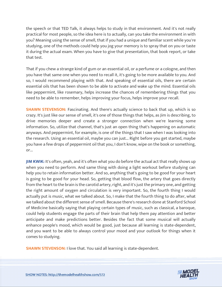the speech or that TED Talk, it always helps to study in that environment. And it's not really practical for most people, so the idea here is to actually, can you take the environment in with you? Meaning using the sense of smell, that if you had a unique and familiar scent while you're studying, one of the methods could help you jog your memory is to spray that on you or taste it during the actual exam. When you have to give that presentation, that book report, or take that test.

That if you chew a strange kind of gum or an essential oil, or a perfume or a cologne, and then you have that same one when you need to recall it, it's going to be more available to you. And so, I would recommend playing with that. And speaking of essential oils, there are certain essential oils that has been shown to be able to activate and wake up the mind. Essential oils like peppermint, like rosemary, helps increase the chances of remembering things that you need to be able to remember, helps improving your focus, helps improve your recall.

**SHAWN STEVENSON:** Fascinating. And there's actually science to back that up, which is so crazy. It's just like our sense of smell, it's one of those things that helps, as Jim is describing, to drive memories deeper and create a stronger connection when we're learning some information. So, utilize that channel, that's just an open thing that's happening on automatic anyways. And peppermint, for example, is one of the things that I saw when I was looking into the research. Using an essential oil, maybe you can just... Right before you get started, maybe you have a few drops of peppermint oil that you, I don't know, wipe on the book or something, or...

**JIM KWIK:** It's often, yeah, and it's often what you do before the actual act that really shows up when you need to perform. And same thing with doing a light workout before studying can help you to retain information better. And so, anything that's going to be good for your heart is going to be good for your head. So, getting that blood flow, the artery that goes directly from the heart to the brain is the carotid artery, right, and it's just the primary one, and getting the right amount of oxygen and circulation is very important. So, the fourth thing I would actually put is music, what we talked about. So, I make that the fourth thing to do after, what we talked about the different sense of smell. Because there's research done at Stanford School of Medicine basically saying that playing certain types of music, such as classical, a baroque, could help students engage the parts of their brain that help them pay attention and better anticipate and make predictions better. Besides the fact that some musical will actually enhance people's mood, which would be good, just because all learning is state-dependent, and you want to be able to always control your mood and your outlook for things when it comes to studying.

**SHAWN STEVENSON: I** love that. You said all learning is state-dependent.

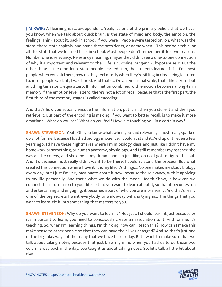**JIM KWIK:** All learning is state-dependent. Yeah, it's one of the primary beliefs that we have, you know, when we talk about quick brain, is the state of mind and body, the emotion, the feelings. Think about it, back in school, if you were... People were tested on, oh, what was the state, these state capitals, and name these presidents, or name when... This periodic table, or all this stuff that we learned back in school. Most people don't remember it for two reasons. Number one is relevancy. Relevancy meaning, maybe they didn't see a one-to-one connection of why it's important and relevant to their life, sin, cosine, tangent X, hypotenuse Y. But the other thing is the emotional state people learned it in, the students learned it in. For most people when you ask them, how do they feel mostly when they're sitting in class being lectured to, most people said, oh, I was bored. And that's... On an emotional scale, that's like a zero, but anything times zero equals zero. If information combined with emotion becomes a long-term memory if the emotion level is zero, there's not a lot of recall because that's the first part, the first third of the memory stages is called encoding.

And that's how you actually encode the information, put it in, then you store it and then you retrieve it. But part of the encoding is making, if you want to better recall, is to make it more emotional. What do you see? What do you feel? How is it touching you in a certain way?

**SHAWN STEVENSON:** Yeah. Oh, you know what, when you said relevancy, it just really sparked up a lot for me, because I loathed biology in science. I couldn't stand it. And up until even a few years ago, I'd have these nightmares where I'm in biology class and just like I didn't have my homework or something, or human anatomy, physiology. And I still remember my teacher, she was a little creepy, and she'd be in my dream, and I'm just like, oh no, I got to figure this out. And it's because I just really didn't want to be there. I couldn't stand the process. But what created this connection where I love it, it is my life, it's things... No one makes me study biology every day, but I just I'm very passionate about it now, because the relevancy, with it applying to my life personally. And that's what we do with the Model Health Show, is how can we connect this information to your life so that you want to learn about it, so that it becomes fun and entertaining and engaging, it becomes a part of who you are more easily. And that's really one of the big secrets I want everybody to walk away with, is tying in... The things that you want to learn, tie it into something that matters to you.

**SHAWN STEVENSON:** Why do you want to learn it? Not just, I should learn it just because or it's important to learn, you need to consciously create an association to it. And for me, it's teaching. So, when I'm learning things, I'm thinking, how can I teach this? How can I make this make sense to other people so that they can have their lives changed? And so that's just one of the big takeaways of the many that we have here today. But I want to make sure that we talk about taking notes, because that just blew my mind when you had us to do those two columns way back in the day, you taught us about taking notes. So, let's talk a little bit about [that.](https://themodelhealthshow.com/increase-focus/)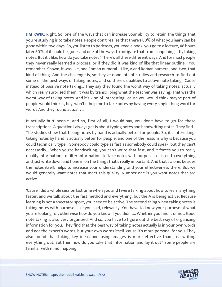**JIM KWIK:** Right. So, one of the ways that can increase your ability to retain the things that you're studying is to take notes. People don't realize that there's 80% of what you learn can be gone within two days. So, you listen to podcasts, you read a book, you go to a lecture, 48 hours later 80% of it could be gone, and one of the ways to mitigate that from happening is by taking notes. But it's like, how do you take notes? There's all these different ways. And for most people they never really learned a process, or if they did it was kind of like that linear outline... You remember, Shawn, it was like, one Roman numeral... Like, A and Roman numeral one, two, that kind of thing. And the challenge is, so they've done lots of studies and research to find out some of the best ways of taking notes, and so there's qualities to active note taking. 'Cause instead of passive note taking... They say they found the worst way of taking notes, actually which really surprised them, it was by transcribing what the teacher was saying. That was the worst way of taking notes. And it's kind of interesting, 'cause you would think maybe part of people would think is, hey, won't it help me to take notes by having every single thing word for word? And they found actually...

It actually hurt people. And so, first of all, I would say, you don't have to go for those transcriptions. A question I always get is about typing notes and handwriting notes. They find... The studies show that taking notes by hand is actually better for people. So, it's interesting, taking notes by hand is actually better for people, and one of the reasons why is because you could technically type... Somebody could type as fast as somebody could speak, but they can't necessarily... When you're handwriting, you can't write that fast, and it forces you to really qualify information, to filter information, to take notes with purpose, to listen to everything and just write down and hone in on the things that's really important. And that's alone, besides the notes itself, helps to increase your understanding and your effectiveness there. But we would generally want notes that meet this quality. Number one is you want notes that are active.

'Cause I did a whole session last time when you and I were talking about how to learn anything faster, and we talk about the fast method and everything, but the A is being active. Because learning is not a spectator sport, you need to be active. The second thing when taking notes is taking notes with purpose. Like you said, relevancy. You have to know your purpose of what you're looking for, otherwise how do you know if you didn't... Whether you find it or not. Good note taking is also very organized. And so, you have to figure out the best way of organizing information for you. They find that the best way of taking notes actually is in your own words and not the expert's words, but your own words itself 'cause it's more personal for you. They also found that taking key ideas and using images is more effective than just writing everything out. But then how do you take that information and lay it out? Some people are familiar with mind mapping.

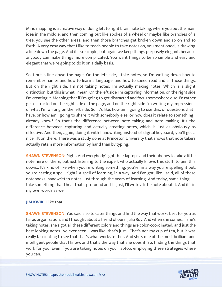Mind mapping is a creative way of doing left to right brain note taking, where you put the main idea in the middle, and then coming out like spokes of a wheel or maybe like branches of a tree, you see the other areas, and then those branches get broken down and so on and so forth. A very easy way that I like to teach people to take notes on, you mentioned, is drawing a line down the page. And it's so simple, but again we keep things purposely elegant, because anybody can make things more complicated. You want things to be so simple and easy and elegant that we're going to do it on a daily basis.

So, I put a line down the page. On the left side, I take notes, so I'm writing down how to remember names and how to learn a language, and how to speed read and all those things. But on the right side, I'm not taking notes, I'm actually making notes. Which is a slight distinction, but this is what I mean. On the left side I'm capturing information, on the right side I'm creating it. Meaning that if I'm going to get distracted and focus somewhere else, I'd rather get distracted on the right side of the page, and on the right side I'm writing my impressions of what I'm writing on the left side. So, it's like, how am I going to use this, or questions that I have, or how am I going to share it with somebody else, or how does it relate to something I already know? So that's the difference between note taking and note making. It's the difference between capturing and actually creating notes, which is just as obviously as effective. And then, again, doing it with handwriting instead of digital keyboard, you'll get a nice lift on there. There was a study done at Princeton University that shows that note takers actually retain more information by hand than by typing.

**SHAWN STEVENSON:** Right. And everybody's got their laptops and their phones to take a little note here or there, but just listening to the expert who actually knows this stuff, to pen this down... It's kind of like when you're writing something, you're, in a way you're spelling it out, you're casting a spell, right? A spell of learning, in a way. And I've got, like I said, all of these notebooks, handwritten notes, just through the years of learning. And today, same thing, I'll take something that I hear that's profound and I'll just, I'll write a little note about it. And it's in my own words as well.

# **JIM KWIK:** I like that.

**SHAWN STEVENSON:** You said also to cater things and find the way that works best for you as far as organization, and I thought about a friend of ours, Julia Roy. And when she comes, if she's taking notes, she's got all these different colors and things are color-coordinated, and just the best-looking notes I've ever seen. I was like, that's just... That's not my cup of tea, but it was really fascinating to see that that's what works for her. And she's one of the most brilliant and intelligent people that I know, and that's the way that she does it. So, finding the things that work for you. Even if you are taking notes on your laptop, employing these strategies where [you can.](https://themodelhealthshow.com/increase-focus/)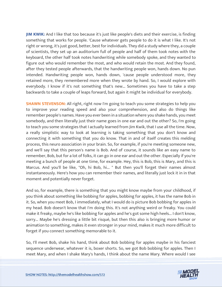**JIM KWIK:** And I like that too because it's just like people's diets and their exercise, is finding something that works for people. 'Cause whatever gets people to do it is what I like. It's not right or wrong, it's just good, better, best for individuals. They did a study where they, a couple of scientists, they set up an auditorium full of people and half of them took notes with the keyboard, the other half took notes handwriting while somebody spoke, and they wanted to figure out who would remember the most, and who would retain the most. And they found, after they tested people afterwards, that the handwriting people won, hands down. No pun intended. Handwriting people won, hands down, 'cause people understood more, they retained more, they remembered more when they wrote by hand. So, I would explore with everybody. I know if it's not something that's new... Sometimes you have to take a step backwards to take a couple of leaps forward, but again it might be individual for everybody.

**SHAWN STEVENSON:** All right, right now I'm going to teach you some strategies to help you to improve your reading speed and also your comprehension, and also do things like remember people's names. Have you ever been in a situation where you shake hands, you meet somebody, and then literally just their name goes in one ear and out the other? So, I'm going to teach you some strategies that I actually learned from Jim Kwik, that I use all the time. Now, a really simplistic way to look at learning is taking something that you don't know and connecting it with something that you do know. That in and of itself creates this melding process, this neuro association in your brain. So, for example, if you're meeting someone new, and we'll say that this person's name is Bob. And of course, it sounds like an easy name to remember, Bob, but for a lot of folks, it can go in one ear and out the other. Especially if you're meeting a bunch of people at one time, for example. Hey, this is Bob, this is Mary, and this is Marcus. And you'll be like, "Oh, hi Bob, hi... " But then you'll forget their names almost instantaneously. Here's how you can remember their names, and literally just lock it in in that moment and potentially never forget.

And so, for example, there is something that you might know maybe from your childhood, if you think about something like bobbing for apples, bobbing for apples, it has the name Bob in it. So, when you meet Bob, I immediately, what I would do is picture Bob bobbing for apples in my head. Bob doesn't know that I'm doing this. It's not anything weird or freaky. You could make it freaky, maybe he's like bobbing for apples and he's got some high heels... I don't know, sorry... Maybe he's dressing a little bit risqué, but then this also is bringing more humor or animation to something, makes it even stronger in your mind, makes it much more difficult to forget if you connect something memorable to it.

So, I'll meet Bob, shake his hand, think about Bob bobbing for apples maybe in his fanciest sequence underwear, whatever it is, boxer shorts. So, we got Bob bobbing for apples. Then I [meet Mary, and when I shake Mary](https://themodelhealthshow.com/increase-focus/)'[s hands, I think about the name Mary. Where would I see](https://themodelhealthshow.com/increase-focus/)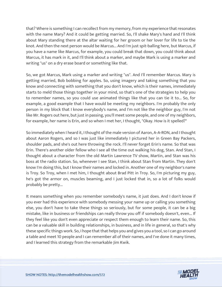that? Where is something I can recollect from my memory, from my experience that resonates with the name Mary? And it could be getting married. So, I'll shake Mary's hand and I'll think about Mary standing there at the altar waiting for her groom or her lover for life to tie the knot. And then the next person would be Marcus... And I'm just spit-balling here, but Marcus, if you have a name like Marcus, for example, you could break that down, you could think about Marcus, it has mark in it, and I'll think about a marker, and maybe Mark is using a marker and writing "us" on a dry erase board or something like that.

So, we got Marcus, Mark using a marker and writing "us". And I'll remember Marcus. Mary is getting married, Bob bobbing for apples. So, using imagery and taking something that you know and connecting with something that you don't know, which is their names, immediately starts to meld those things together in your mind, so that's one of the strategies to help you to remember names, so you could use animated things like that you can tie it to... So, for example, a good example that I have would be meeting my neighbors. I'm probably the only person in my block that I know everybody's name, and I'm not like the neighbor guy, I'm not like Mr. Rogers out here, but just in passing, you'll meet some people, and one of my neighbors, for example, her name is Erin, and so when I met her, I thought, "Okay. How is it spelled?"

So immediately when I heard it, I thought of the male version of Aaron, A-A-RON, and I thought about Aaron Rogers, and so I was just like immediately I pictured her in Green Bay Packers, shoulder pads, and she's out here throwing the rock. I'll never forget Erin's name. So that was Erin. There's another older fellow who I see all the time out walking his dog, Stan. And Stan, I thought about a character from the old Martin Lawrence TV show, Martin, and Stan was his boss at the radio station. So, whenever I see Stan, I think about Stan from Martin. They don't know I'm doing this, but I know their names and locked in. Another one of my neighbor's name is Troy. So Troy, when I met him, I thought about Brad Pitt in Troy. So, I'm picturing my guy, he's got the armor on, muscles beaming, and I just locked that in, so a lot of folks would probably be pretty...

It means something when you remember somebody's name, it just does. And I don't know if you ever had this experience with somebody messing your name up or calling you something else, you don't have to take these things so seriously, but for some people, it can be a big mistake, like in business or friendships can really throw you off if somebody doesn't, even... If they feel like you don't even appreciate or respect them enough to learn their name. So, this can be a valuable skill in building relationships, in business, and in life in general, so that's why these specific things work. So, I hope that that helps you and gives you a tool, so I can go around a table and meet 10 people and I can remember all of their names, and I've done it many times, and I learned this strategy from the remarkable Jim Kwik.

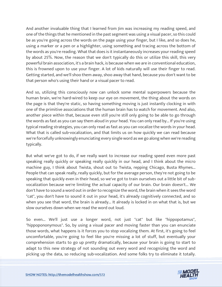And another invaluable thing that I learned from Jim was increasing my reading speed, and one of the things that he mentioned in the past segment was using a visual pacer, so this could be as you're going across the words on the page using your finger, but I like, and so does he, using a marker or a pen or a highlighter, using something and tracing across the bottom of the words as you're reading. What that does is it instantaneously increases your reading speed by about 25%. Now, the reason that we don't typically do this or utilize this skill, this very powerful brain association, it's a brain hack, is because when we are in conventional education, this is frowned upon to use your finger. A lot of kids naturally will use their finger to read. Getting started, and we'll shoo them away, shoo away that hand, because you don't want to be that person who's using their hand or a visual pacer to read.

And so, utilizing this consciously now can unlock some mental superpowers because the human brain, we're hard-wired to keep our eye on movement, the thing about the words on the page is that they're static, so having something moving is just instantly clocking in with one of the primitive associations that the human brain has to watch for movement. And also, another piece within that, because even still you're still only going to be able to go through the words as fast as you can say them aloud in your head. You can only read by... If you're using typical reading strategies, you can only read as fast as you can vocalize the words in your head. What that is called sub-vocalization, and that limits us on how quickly we can read because we're forcefully unknowingly enunciating every single word as we go along when we're reading typically.

But what we've got to do, if we really want to increase our reading speed even more past speaking really quickly or speaking really quickly in our head, and I think about the micro machine guy, I think about Twista, shout out to Twista, repping Chicago, Busta Rhymes... People that can speak really, really quickly, but for the average person, they're not going to be speaking that quickly even in their head, so we've got to train ourselves out a little bit of subvocalization because we're limiting the actual capacity of our brain. Our brain doesn't... We don't have to sound a word out in order to recognize the word, the brain when it sees the word "cat", you don't have to sound it out in your head, it's already cognitively connected, and so when you see that word, the brain is already... It already is locked in on what that is, but we slow ourselves down when we read the word out loud.

So even... We'll just use a longer word, not just "cat" but like "hippopotamus", "hippopononymous". So, by using a visual pacer and moving faster than you can enunciate those words, what happens is it forces you to stop vocalizing them. At first, it's going to feel uncomfortable, you're going to feel like you're missing a lot of stuff, but eventually your comprehension starts to go up pretty dramatically, because your brain is going to start to adapt to this new strategy of not sounding out every word and recognizing the word and [picking up the data, so reducing sub-vocalization. And some folks try to eliminate it totally.](https://themodelhealthshow.com/increase-focus/)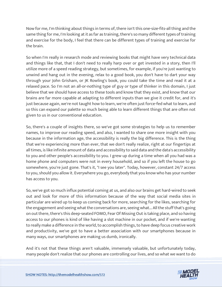Now for me, I'm thinking about things in terms of, there isn't this one-size-fits-all thing and the same thing for me, I'm looking at it as far as training, there's so many different types of training and exercise for the body, I feel that there can be different types of training and exercise for the brain.

So when I'm really in research mode and reviewing books that might have very technical data and things like that, that I don't need to really harp over or get invested in a story, then I'll utilize more of a speed reading strategy, but sometimes, for example, if you're just wanting to unwind and hang out in the evening, relax to a good book, you don't have to dart your way through your John Grisham, or JK Rowling's book, you could take the time and read it at a relaxed pace. So I'm not an all-or-nothing type of guy or type of thinker in this domain, I just believe that we should have access to these tools and know that they exist, and know that our brains are far more capable at adapting to different inputs than we give it credit for, and it's just because again, we're not taught how to learn, we're often just force-fed what to learn, and so this can expand our palette so much being able to learn different things that are often not given to us in our conventional education.

So, there's a couple of insights there, so we've got some strategies to help us to remember names, to improve our reading speed, and also, I wanted to share one more insight with you because in the information age, the accessibility is really the big difference. This is the thing that we're experiencing more than ever, that we don't really realize, right at our fingertips at all times, is like infinite amount of data and accessibility to said data and the data's accessibility to you and other people's accessibility to you. I grew up during a time when all you had was a home phone and computers were not in every household, and so if you left the house to go somewhere, you're just gone. That's it, "I see you later". Today, however, constant 24/7 access to you, should you allow it. Everywhere you go, everybody that you know who has your number has access to you.

So, we've got so much influx potential coming at us, and also our brains get hard-wired to seek out and look for more of this information because of the way that social media sites in particular are wired up to keep us coming back for more, searching for the likes, searching for the engagement and seeing what the conversations are, seeing what... All the stuff that's going on out there, there's this deep-seated FOMO, Fear Of Missing Out is taking place, and so having access to our phones is kind of like having a slot machine in our pocket, and if we're wanting to really make a difference in the world, to accomplish things, to have deep focus creative work and productivity, we've got to have a better association with our smartphones because in many ways, our smartphones are making us dumb, ironically.

And it's not that these things aren't valuable, immensely valuable, but unfortunately today, [many people don](https://themodelhealthshow.com/increase-focus/)'[t realize that our phones are controlling our lives, and so what we want to do](https://themodelhealthshow.com/increase-focus/) 

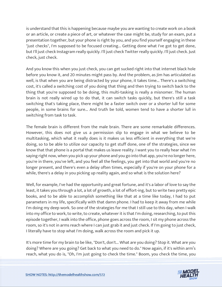is understand that this is happening because maybe you are wanting to create work on a book or an article, or create a piece of art, or whatever the case might be, study for an exam, put a presentation together, but your phone is right by you, and you find yourself engaging in these "just checks", I'm supposed to be focused creating... Getting done what I've got to get done, but I'll just check Instagram really quickly. I'll just check Twitter really quickly. I'll just check. Just check, just check.

And you know this when you just check, you can get sucked right into that internet black hole before you know it, and 20 minutes might pass by. And the problem, as Jim has articulated as well, is that when you are being distracted by your phone, it takes time... There's a switching cost, it's called a switching cost of you doing that thing and then trying to switch back to the thing that you're supposed to be doing, this multi-tasking is really a misnomer. The human brain is not really wired up to do that, it can switch tasks quickly, but there's still a task switching that's taking place, there might be a faster switch over or a shorter lull for some people, in some brains for sure... And truth be told, women tend to have a shorter lull in switching from task to task.

The female brain is different from the male brain. There are some remarkable differences. However, this does not give us a permission slip to engage in what we believe to be multitasking, which what it really does is it makes us less efficient in everything that we're doing, so to be able to utilize our capacity to get stuff done, one of the strategies, since we know that that phone is a portal that makes us leave reality. I want you to really hear what I'm saying right now, when you pick up your phone and you go into that app, you're no longer here, you're in there, you've left, and you feel all the feelings, you get into that world and you're no longer present, and there's even a delay often times, especially if you're on your phone for a while, there's a delay in you picking up reality again, and so what is the solution here?

Well, for example, I've had the opportunity and great fortune, and it's a labor of love to say the least, it takes you through a lot, a lot of growth, a lot of effort-ing, but to write two pretty epic books, and to be able to accomplish something like that at a time like today, I had to put parameters in my life, specifically with that damn phone. I had to keep it away from me while I'm doing my deep work. So one of the strategies for me that I still use to this day, when I walk into my office to work, to write, to create, whatever it is that I'm doing, researching, to put this episode together, I walk into the office, phone goes across the room, I sit my phone across the room, so it's not in arms reach where I can just grab it and just check. If I'm going to just check, I literally have to stop what I'm doing, walk across the room and pick it up.

It's more time for my brain to be like, "Don't, don't... What are you doing? Stop it. What are you doing? Where are you going? Get back to what you need to do." Now again, if it's within arm's [reach, what you do is, "Oh, I](https://themodelhealthshow.com/increase-focus/)'[m just going to check the time." Boom, you check the time, you](https://themodelhealthshow.com/increase-focus/)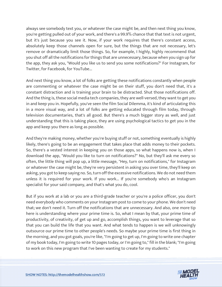always see somebody text you, or whatever the case might be, and then next thing you know, you're getting pulled out of your work, and there's a 99.9% chance that that text is not urgent, but it's just because you see it. Now, if your work requires that there's constant access, absolutely keep those channels open for sure, but the things that are not necessary, let's remove or dramatically limit those things. So, for example, I highly, highly recommend that you shut off all the notifications for things that are unnecessary, because when you sign up for the app, they ask you, "Would you like us to send you some notifications?" For Instagram, for Twitter, for Facebook, for YouTube...

And next thing you know, a lot of folks are getting these notifications constantly when people are commenting or whatever the case might be on their stuff, you don't need that, it's a constant distraction and is training your brain to be distracted. Shut those notifications off. And the thing is, these social media tech companies, they are well-versed, they want to get you in and keep you in. Hopefully, you've seen the film Social Dilemma, it's kind of articulating this in a more visual way, and a lot of folks are getting educated through film today, through television documentaries, that's all good. But there's a much bigger story as well, and just understanding that this is taking place, they are using psychological tactics to get you in the app and keep you there as long as possible.

And they're making money, whether you're buying stuff or not, something eventually is highly likely, there's going to be an engagement that takes place that adds money to their pockets. So, there's a vested interest in keeping you on those apps, so what happens now is, when I download the app, "Would you like to turn on notifications?" No, but they'll ask me every so often, the little thing will pop up, a little message, "Hey, turn on notifications," for Instagram or whatever the case might be, they're very persistent in asking you over time, they'll keep on asking, you got to keep saying no. So, turn off the excessive notifications. We do not need them unless it is required for your work. If you work... If you're somebody who's an Instagram specialist for your said company, and that's what you do, cool.

But if you work at a lab or you are a third-grade teacher or you're a police officer, you don't need everybody who comments on your Instagram post to come to your phone. We don't need that; we don't need it. Turn off the notifications that are unnecessary. And also, one more tip here is understanding where your prime time is. So, what I mean by that, your prime time of productivity, of creativity, of get up and go, accomplish things, you want to leverage that so that you can build the life that you want. And what tends to happen is we will unknowingly outsource our prime time to other people's needs. So maybe your prime time is first thing in the morning, and you got goals, you're like, "I'm going to get up, I'm going to write one chapter of my book today, I'm going to write 10 pages today, or I'm going to," fill in the blank; "I'm going to work on this new program that I've been wanting to create for my students."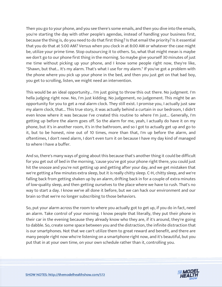Then you go to your phone, and you see there's some emails, and then you dive into the emails, you're starting the day with other people's agendas, instead of handling your business first, because the thing is, do you need to do that first thing? Is that email the priority? Is it essential that you do that at 5:00 AM? Versus when you clock in at 8:00 AM or whatever the case might be, utilize your prime time. Stop outsourcing it to others. So, what that might mean is maybe we don't go to our phone first thing in the morning. So maybe give yourself 30 minutes of just me time without picking up your phone, and I know some people right now, they're like, "Shawn, but that... It's my alarm. That's what I use for my alarm." If you've got a problem with the phone where you pick up your phone in the bed, and then you just get on that bad boy, you get to scrolling, listen, we might need an intervention.

This would be an ideal opportunity... I'm just going to throw this out there. No judgment. I'm hella judging right now. No, I'm just kidding. No judgement, no judgement. This might be an opportunity for you to get a real alarm clock. They still exist. I promise you, I actually just saw my alarm clock, that... This true story, it was actually behind a curtain in our bedroom, I didn't even know where it was because I've created this routine to where I'm just... Generally, I'm getting up before the alarm goes off. So the alarm for me, yeah, I actually do have it on my phone, but it's in another room, it's in the bathroom, and so I got to actually get up and go to it, but to be honest, nine out of 10 times, more than that, I'm up before the alarm, and oftentimes, I don't need alarm, I don't even turn it on because I have my day kind of managed to where I have a buffer.

And so, there's many ways of going about this because that's another thing it could be difficult for you get out of bed in the morning, 'cause you've got your phone right there, you could just hit the snooze and you're not getting up and getting after your day, and we get mistaken that we're getting a few minutes extra sleep, but it is really chitty sleep. C-H, chitty sleep, and we're falling back from getting shaken up by an alarm, drifting back in for a couple of extra minutes of low-quality sleep, and then getting ourselves to the place where we have to rush. That's no way to start a day. I know we've all done it before, but we can hack our environment and our brain so that we're no longer subscribing to those behaviors.

So, put your alarm across the room to where you actually got to get up, if you do in fact, need an alarm. Take control of your morning. I know people that literally, they put their phone in their car in the evening because they already know who they are, if it's around, they're going to dabble. So, create some space between you and the distraction, the infinite distraction that is our smartphones. Not that we can't utilize them to great reward and benefit, and there are many people right now who're listening on a smartphone right now, and it's beautiful, but you put that in at your own time, on your own schedule rather than it, controlling you.

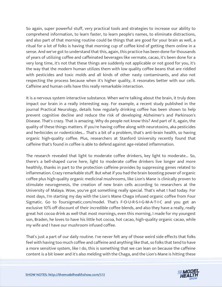So again, super powerful stuff, very practical tools and strategies to increase our ability to comprehend information, to learn faster, to learn people's names, to eliminate distractions, and also part of that morning routine could be things that are good for your brain as well, a ritual for a lot of folks is having that morning cup of coffee kind of getting them online in a sense. And we've got to understand that this, again, this practice has been done for thousands of years of utilizing coffee and caffeinated beverages like vermate, cacao, it's been done for a very long time, it's not that these things are suddenly not applicable or not good for you, it's the way that the modern human utilizes them with low quality coffee beans that are riddled with pesticides and toxic molds and all kinds of other nasty contaminants, and also not respecting the process because when it's higher quality, it resonates better with our cells. Caffeine and human cells have this really remarkable interaction.

It is a nervous system interactive substance. When we're talking about the brain, it truly does impact our brain in a really interesting way. For example, a recent study published in the journal Practical Neurology, details how regularly drinking coffee has been shown to help prevent cognitive decline and reduce the risk of developing Alzheimer's and Parkinson's Disease. That's crazy. That is amazing. Why do people not know this? And part of it, again, the quality of these things matters. If you're having coffee along with neurotoxins, aka pesticides and herbicides or rodenticides... That's a bit of a problem, that's anti-brain health, so having organic high-quality coffee. Plus, researchers at Stanford University recently found that caffeine that's found in coffee is able to defend against age-related inflammation.

The research revealed that light to moderate coffee drinkers, key light to moderate... So, there's a bell-shaped curve here, light to moderate coffee drinkers live longer and more healthily, thanks in part to the protection caffeine provides by suppressing genes related to inflammation. Crazy remarkable stuff. But what if you had the brain boosting power of organic coffee plus high-quality organic medicinal mushrooms, like Lion's Mane is clinically proven to stimulate neurogenesis, the creation of new brain cells according to researchers at the University of Malaya. Wow, you've got something really special. That's what I had today. For most days, I'm starting my day with the Lion's Mane Chaga infused organic coffee from Four Sigmatic. Go to foursigmatic.com/model. That's F-O-U-R-S-I-G-M-A-T-I-C and you get an exclusive 10% off discount of their incredible coffee blends, and also they have a really, really great hot cocoa drink as well that most mornings, even this morning, I made for my youngest son, Braden, he loves to have his little hot cocoa, hot cacao, high-quality organic cacao, while my wife and I have our mushroom infused coffee.

That's just a part of our daily routine. I've never felt any of those weird side effects that folks feel with having too much coffee and caffeine and anything like that, so folks that tend to have a more sensitive system, like I do, this is something that we can lean on because the caffeine [content is a bit lower and it](https://themodelhealthshow.com/increase-focus/)'[s also melding with the Chaga, and the Lion](https://themodelhealthshow.com/increase-focus/)'[s Mane is hitting these](https://themodelhealthshow.com/increase-focus/)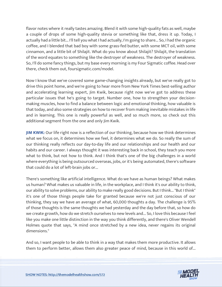flavor notes where it really tastes amazing. Blend it with some high-quality fats as well, maybe a couple of drops of some high-quality stevia or something like that, dress it up. Today, I actually had a little bit... I'll tell you what I had actually, I'm going to share... So, I had the organic coffee, and I blended that bad boy with some grass-fed butter, with some MCT oil, with some cinnamon, and a little bit of Shilajit. What do you know about Shilajit? Shilajit, the translation of the word equates to something like the destroyer of weakness. The destroyer of weakness. So, I'll do some fancy things, but my base every morning is my Four Sigmatic coffee. Head over there, check them out, foursigmatic.com/model.

Now I know that we've covered some game-changing insights already, but we've really got to drive this point home, and we're going to hear more from New York Times best-selling author and accelerating learning expert, Jim Kwik, because right now we've got to address these particular issues that he's going to target. Number one, how to strengthen your decisionmaking muscles, how to find a balance between logic and emotional thinking, how valuable is that today, and also some strategies on how to recover from making inevitable mistakes in life and in learning. This one is really powerful as well, and so much more, so check out this additional segment from the one and only Jim Kwik.

**JIM KWIK:** Our life right now is a reflection of our thinking, because how we think determines what we focus on, it determines how we feel, it determines what we do. So really the sum of our thinking really reflects our day-to-day life and our relationships and our health and our habits and our career. I always thought it was interesting back in school, they teach you more what to think, but not how to think. And I think that's one of the big challenges in a world where everything is being outsourced overseas, jobs, or it's being automated, there's software that could do a lot of left-brain jobs or...

There's something like artificial intelligence. What do we have as human beings? What makes us human? What makes us valuable in life, in the workplace, and I think it's our ability to think, our ability to solve problems, our ability to make really good decisions. But I think... "But I think" it's one of those things people take for granted because we're not just conscious of our thinking, they say we have an average of what, 60,000 thoughts a day. The challenge is 95% of those thoughts is the same thoughts we had yesterday and the day before that, so how do we create growth, how do we stretch ourselves to new levels and... So, I love this because I feel like you make one little distinction in the way you think differently, and there's Oliver Wendell Holmes quote that says, "A mind once stretched by a new idea, never regains its original dimensions."

And so, I want people to be able to think in a way that makes them more productive. It allows them to perform better, allows them also greater peace of mind, because in this world of...

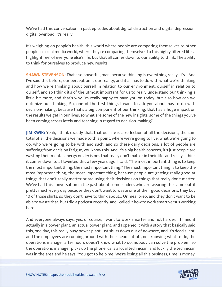We've had this conversation in past episodes about digital distraction and digital depression, digital overload, it's really...

It's weighing on people's health, this world where people are comparing themselves to other people in social media world, where they're comparing themselves to this highly filtered life, a highlight reel of everyone else's life, but that all comes down to our ability to think. The ability to think for ourselves to produce new results.

**SHAWN STEVENSON:** That's so powerful, man, because thinking is everything really, it's... And I've said this before, our perception is our reality, and it all has to do with what we're thinking and how we're thinking about ourself in relation to our environment, ourself in relation to ourself, and so I think it's of the utmost important for us to really understand our thinking a little bit more, and that's why I'm really happy to have you on today, but also how can we optimize our thinking. So, one of the first things I want to ask you about has to do with decision-making, because that's a big component of our thinking, that has a huge impact on the results we get in our lives, so what are some of the new insights, some of the things you've been coming across lately and teaching in regard to decision-making?

**JIM KWIK:** Yeah, I think exactly that, that our life is a reflection of all the decisions, the sum total of all the decisions we made to this point, where we're going to live, what we're going to do, who we're going to be with and such, and so these daily decisions, a lot of people are suffering from decision fatigue, you know this. And it's a big health concern, it's just people are wasting their mental energy on decisions that really don't matter in their life, and really, I think it comes down to... I tweeted this a few years ago, I said, "The most important thing is to keep the most important thing, the most important thing." The most important thing is to keep the most important thing, the most important thing, because people are getting really good at things that don't really matter or are using their decisions on things that really don't matter. We've had this conversation in the past about some leaders who are wearing the same outfit pretty much every day because they don't want to waste one of their good decisions, they buy 10 of those shirts, so they don't have to think about... Or meal prep, and they don't want to be able to waste that, but I did a podcast recently, and I called it how to work smart versus working hard.

And everyone always says, yes, of course, I want to work smarter and not harder. I filmed it actually in a power plant, an actual power plant, and I opened it with a story that basically said this, one day, this really busy power plant just shuts down out of nowhere, and it's dead silent, and the employees are running around with their head cut off, not knowing what to do, the operations manager after hours doesn't know what to do, nobody can solve the problem, so the operations manager picks up the phone, calls a local technician, and luckily the technician [was in the area and he says, "You got to help me. We](https://themodelhealthshow.com/increase-focus/)'[re losing all this business, time is money.](https://themodelhealthshow.com/increase-focus/)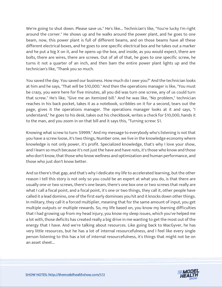We're going to shut down. Please save us." He's like... Technician's like, "You're lucky I'm right around the corner." He shows up and he walks around the power plant, and he goes to one beam, now, this power plant is full of different beams, and on those beams have all these different electrical boxes, and he goes to one specific electrical box and he takes out a marker and he put a big X on it, and he opens up the box, and inside, as you would expect, there are bolts, there are wires, there are screws. Out of all of that, he goes to one specific screw, he turns it not a quarter of an inch, and then bam the entire power plant lights up and the technician's like, "Thank you so much.

You saved the day. You saved our business. How much do I owe you?" And the technician looks at him and he says, "That will be \$10,000." And then the operations manager is like, "You must be crazy, you were here for five minutes, all you did was turn one screw, any of us could turn that screw." He's like, "Give me an itemized bill." And he was like, "No problem," technician reaches in his back pocket, takes it as a notebook, scribbles on it for a second, tears out the page, gives it the operations manager. The operations manager looks at it and says, "I understand," he goes to his desk, takes out his checkbook, writes a check for \$10,000, hands it to the man, and you zoom in on that bill and it says this, "Turning screw: \$1.

Knowing what screw to turn: \$9999." And my message to everybody who's listening is not that you have a screw loose, it's two things, Number one, we live in the knowledge economy where knowledge is not only power, it's profit. Specialized knowledge, that's why I love your show, and I learn so much because it's not just the have and have nots, it's those who know and those who don't know, that those who know wellness and optimization and human performance, and those who just don't know better.

And so there's that gap, and that's why I dedicate my life to accelerated learning, but the other reason I tell this story is not only so you could be an expert at what you do, is that there are usually one or two screws, there's one beam, there's one box one or two screws that really are what I call a focal point, and a focal point, it's one or two things, they call it, other people have called it a lead domino, one of the first early dominoes you hit and it knocks down other things. In military, they call it a forced multiplier, meaning that for the same amount of input, you get multiple outputs or multiple rewards. So, my life based on, you know my learning difficulties that I had growing up from my head injury, you know my sleep issues, which you've helped me a lot with, those deficits has created really a big drive in me wanting to get the most out of the energy that I have. And we're talking about resources. Like going back to MacGyver, he has very little resources, but he has a lot of internal resourcefulness, and I feel like every single person listening to this has a lot of internal resourcefulness, it's things that might not be on an asset sheet...

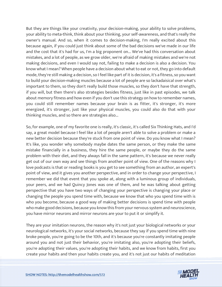But they are things like your creativity, your decision-making, your ability to solve problems, your ability to meta-think, think about your thinking, your self-awareness, and that's really the owner's manual. And so, when it comes to decision-making, I'm really excited about this because again, if you could just think about some of the bad decisions we've made in our life and the cost that it's had for us, I'm a big proponent on... We've had this conversation about mistakes, and a lot of people, as we grow older, we're afraid of making mistakes and we're not making decisions, and even I would say not, failing to make a decision is also a decision. You know what I mean? When people have a decision about what to eat or not, they go into default mode, they're still making a decision, so I feel like part of it is decision, it's a fitness, so you want to build your decision-making muscles because a lot of people are so lackadaisical over what's important to them, so they don't really build those muscles, so they don't have that strength, if you will, but then there's also strategies besides fitness, just like in past episodes, we talk about memory fitness and how even if you don't use this strategy on how to remember names, you could still remember names because your brain is as fitter, it's stronger, it's more energized, it's stronger, just like your physical muscles, you could also do that with your thinking muscles, and so there are strategies also...

So, for example, one of my favorite one is really, it's classic, it's called Six Thinking Hats, and I'd say, a great model because I feel like a lot of people aren't able to solve a problem or make a new better decision because they're stuck from one point of view. Do you know what I mean? It's like, you wonder why somebody maybe dates the same person, or they make the same mistake financially in a business, they hire the same people, or maybe they do the same problem with their diet, and they always fall in the same pattern, it's because we never really get out of our own way and see things from another point of view. One of the reasons why I love podcasts is that or reading books is you get to see something from an author, an expert's point of view, and it gives you another perspective, and in order to change your perspective, I remember we did that event that you spoke at, along with a luminous group of individuals, your peers, and we had Quincy Jones was one of them, and he was talking about getting perspective that you have two ways of changing your perspective is changing your place or changing the people you spend time with, because we know that who you spend time with is who you become, because a good way of making better decisions is spend time with people who make good decisions, because you know this from your nervous system and neuroscience, you have mirror neurons and mirror neurons are your to put it or simplify it.

They are your imitation neurons, the reason why it's not just your biological networks or your neurological networks, it's your social networks, because they say if you spend time with nine broke people, you're going to be the 10th, and it's because you're constantly imitating people around you and not just their behavior, you're imitating also, you're adopting their beliefs, you're adopting their values, you're adopting their habits, and we know from habits, first you [create your habits and then your habits create you, and it](https://themodelhealthshow.com/increase-focus/)'[s not just our habits of meditation](https://themodelhealthshow.com/increase-focus/)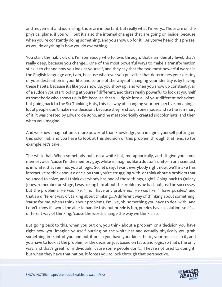and movement and journaling, those are important, but really what I'm very... Those are on the physical plane, if you will, but it's also the internal changes that are going on inside, because when you're constantly doing something, and you show up for it... As you've heard this phrase, as you do anything is how you do everything.

You start the habit of, oh, I'm somebody who follows through, that's an identity level, that's really deep, because you change... One of the most powerful ways to make a transformation stick is to change how you look at yourself, and they say that the two most powerful words in the English language are, I am, because whatever you put after that determines your destiny or your destination in your life, and so one of the ways of changing your identity is by having these habits, because it's like you show up, you show up, and when you show up constantly, all of a sudden you start looking at yourself different, and that's really powerful to look at yourself as somebody who shows up in life because that will ripple into all of your different behaviors, but going back to the Six Thinking Hats, this is a way of changing your perspective, meaning a lot of people don't make new decisions because they're stuck in one mode, and so the summary of it, it was created by Edward de Bono, and he metaphorically created six color hats, and then when you imagine...

And we know imagination is more powerful than knowledge, you imagine yourself putting on this color hat, and you have to look at this decision or this problem through that lens, so for example, let's take...

The white hat. When somebody puts on a white hat, metaphorically, and I'll give you some memory aids, 'cause I'm the memory guy, white is imagine, like a doctor's uniform or a scientist is in white, that reminds you of logic. So, let's say, I want everybody right now, we'll make this interactive to think about a decision that you're struggling with, or think about a problem that you need to solve, and I think everybody has one of those things, right? Going back to Quincy Jones, remember on stage, I was asking him about the problems he had, not just the successes, but the problems. He was like, "Jim, I have any problems." He was like, "I have puzzles," and that's a different way of, talking about thinking... A different way of thinking about something, 'cause for me, when I think about problems, I'm like, oh, something you have to deal with. And I don't know if I would be able to handle this, but puzzle is fun, puzzles have a solution, so it's a different way of thinking, 'cause the words change the way we think also.

But going back to this, when you put on, you think about a problem or a decision you have right now, you imagine yourself putting on the white hat and actually physically you grab something in front of you and put it on so you have your kinesthetic, your muscles in it, and you have to look at the problem or the decision just based on facts and logic, so that's the only way, and that's great for individuals, 'cause some people don't... They're not used to doing it, [but when they have that hat on, it forces you to look through that perspective.](https://themodelhealthshow.com/increase-focus/)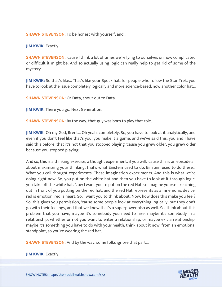**SHAWN STEVENSON:** To be honest with yourself, and...

**JIM KWIK: Exactly.** 

**SHAWN STEVENSON:** 'cause I think a lot of times we're lying to ourselves on how complicated or difficult it might be. And so actually using logic can really help to get rid of some of the mystery...

**JIM KWIK:** So that's like... That's like your Spock hat, for people who follow the Star Trek, you have to look at the issue completely logically and more science-based, now another color hat...

**SHAWN STEVENSON: Or Data, shout out to Data.** 

**JIM KWIK:** There you go. Next Generation.

**SHAWN STEVENSON:** By the way, that guy was born to play that role.

**JIM KWIK:** Oh my God, Brent... Oh yeah, completely. So, you have to look at it analytically, and even if you don't feel like that's you, you make it a game, and we've said this, you and I have said this before, that it's not that you stopped playing 'cause you grew older, you grew older because you stopped playing.

And so, this is a thinking exercise, a thought experiment, if you will, 'cause this is an episode all about maximizing your thinking, that's what Einstein used to do, Einstein used to do these... What you call thought experiments. These imagination experiments. And this is what we're doing right now. So, you put on the white hat and then you have to look at it through logic, you take off the white hat. Now I want you to put on the red Hat, so imagine yourself reaching out in front of you putting on the red hat, and the red Hat represents as a mnemonic device, red is emotion, red is heart. So, I want you to think about, Now, how does this make you feel? So, this gives you permission, 'cause some people look at everything logically, but they don't go with their feelings, and that we know that's a superpower also as well. So, think about this problem that you have, maybe it's somebody you need to hire, maybe it's somebody in a relationship, whether or not you want to enter a relationship, or maybe exit a relationship, maybe it's something you have to do with your health, think about it now, from an emotional standpoint, so you're wearing the red hat.

**SHAWN STEVENSON:** And by the way, some folks ignore that part...

**[JIM KWIK:](https://themodelhealthshow.com/increase-focus/) Exactly.** 

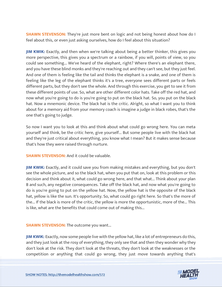**SHAWN STEVENSON:** They're just more bent on logic and not being honest about how do I feel about this, or even just asking ourselves, how do I feel about this situation?

**JIM KWIK:** Exactly, and then when we're talking about being a better thinker, this gives you more perspective, this gives you a spectrum or a rainbow, if you will, points of view, so you could see something... We've heard of the elephant, right? Where there's an elephant there, and you have these blind monks and they're reaching out and they can't see, but they just feel. And one of them is feeling like the tail and thinks the elephant is a snake, and one of them is feeling like the leg of the elephant thinks it's a tree, everyone sees different parts or feels different parts, but they don't see the whole. And through this exercise, you get to see it from these different points of use. So, what are other different color hats. Take off the red hat, and now what you're going to do is you're going to put on the black hat. So, you put on the black hat. Now a mnemonic device. The black hat is the critic. Alright, so what I want you to think about for a memory aid from your memory coach is imagine a judge in black robes, that's the one that's going to judge.

So now I want you to look at this and think about what could go wrong here. You can meta yourself and think, be the critic here, give yourself... But some people live with the black hat and they're just critical about everything, you know what I mean? But it makes sense because that's how they were raised through nurture.

**SHAWN STEVENSON:** And it could be valuable.

**JIM KWIK:** Exactly, and it could save you from making mistakes and everything, but you don't see the whole picture, and so the black hat, when you put that on, look at this problem or this decision and think about it, what could go wrong here, and that what... Think about your plan B and such, any negative consequences. Take off the black hat, and now what you're going to do is you're going to put on the yellow hat. Now, the yellow hat is the opposite of the black hat, yellow is like the sun. It's opportunity. So, what could go right here. So that's the more of the... If the black is more of the critic, the yellow is more the opportunistic, more of the... This is like, what are the benefits that could come out of making this...

**SHAWN STEVENSON:** The outcome you want...

**JIM KWIK:** Exactly, now some people live with the yellow hat, like a lot of entrepreneurs do this, and they just look at the rosy of everything, they only see that and then they wonder why they don't look at the risk. They don't look at the threats, they don't look at the weaknesses or the [competition or anything that could go wrong, they just move towards anything that](https://themodelhealthshow.com/increase-focus/)'[s](https://themodelhealthshow.com/increase-focus/)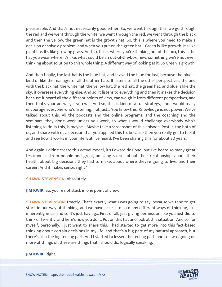pleasurable. And that's not necessarily good either. So, we went through this, we go through the red and we went through the white, we went through the red, we went through the black and then the yellow, the green hat is the growth hat. So, this is where you need to make a decision or solve a problem, and when you put on the green hat... Green is like growth. It's like plant life. It's like growing grass. And so, this is where you're thinking out of the box, this is the hat you wear where it's like, what could be an out-of-the-box, new, something we're not even thinking about solution to this whole thing. A different way of looking at it. So Green is growth.

And then finally, the last hat is the blue hat, and I saved the blue for last, because the blue is kind of like the manager of all the other hats. It listens to all the other perspectives, the one with the black hat, the white hat, the yellow hat, the red hat, the green hat, and blue is like the sky, it oversees everything else. And so, it listens to everything and then it makes the decision because it heard all the different points of view, can weigh it from different perspectives, and then that's your answer, if you will. And so, this is kind of a fun strategy, and I would really encourage everyone who's listening, not just... You know this. Knowledge is not power. We've talked about this. All the podcasts and the online programs, and the coaching and the seminars, they don't work unless you work, so what I would challenge everybody who's listening to do, is this, is maybe... Maybe take a screenshot of this episode. Post it, tag both of us, and share with us a decision that you applied this to, because then you really get to feel it and see how it works in your life. But I've heard, I've been sharing this for about 20 years.

And again, I didn't create this actual model, it's Edward de Bono, but I've heard so many great testimonials from people and great, amazing stories about their relationship, about their health, about big decisions they had to make, about where they're going to live, and their career. And it makes sense, right?

# **SHAWN STEVENSON: Absolutely.**

**JIM KWIK:** So, you're not stuck in one point of view.

**SHAWN STEVENSON:** Exactly. That's exactly what I was going to say, because we tend to get stuck in our way of thinking, and we have access to so many different ways of thinking, like inherently in us, and so it's just having... First of all, just giving permission like you just did to think differently, and here's how you do it. Put on this hat and look at this situation. And so, for myself, personally, I just want to share this. I had started to get more into this fact-based thinking about certain decisions in my life, and that's a big part of my natural approach, but there's also the big feeling part. And I started to lessen the feeling part, and so I was going on more of things of, these are things that I should do, logically speaking.

#### **[JIM KWIK:](https://themodelhealthshow.com/increase-focus/)** Right.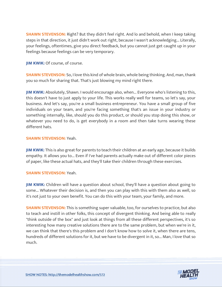**SHAWN STEVENSON:** Right? But they didn't feel right. And lo and behold, when I keep taking steps in that direction, it just didn't work out right, because I wasn't acknowledging... Literally, your feelings, oftentimes, give you direct feedback, but you cannot just get caught up in your feelings because feelings can be very temporary.

**JIM KWIK: Of course, of course.** 

**SHAWN STEVENSON:** So, I love this kind of whole brain, whole being thinking. And, man, thank you so much for sharing that. That's just blowing my mind right there.

**JIM KWIK:** Absolutely, Shawn. I would encourage also, when... Everyone who's listening to this, this doesn't have to just apply to your life. This works really well for teams, so let's say, your business. And let's say, you're a small business entrepreneur. You have a small group of five individuals on your team, and you're facing something that's an issue in your industry or something internally, like, should you do this product, or should you stop doing this show, or whatever you need to do, is get everybody in a room and then take turns wearing these different hats.

#### **SHAWN STEVENSON:** Yeah.

**JIM KWIK:** This is also great for parents to teach their children at an early age, because it builds empathy. It allows you to... Even if I've had parents actually make out of different color pieces of paper, like these actual hats, and they'll take their children through these exercises.

#### **SHAWN STEVENSON:** Yeah.

**JIM KWIK:** Children will have a question about school, they'll have a question about going to some... Whatever their decision is, and then you can play with this with them also as well, so it's not just to your own benefit. You can do this with your team, your family, and more.

**SHAWN STEVENSON:** This is something super valuable, too, for ourselves to practice, but also to teach and instill in other folks, this concept of divergent thinking. And being able to really "think outside of the box" and just look at things from all these different perspectives, it's so interesting how many creative solutions there are to the same problem, but when we're in it, we can think that there's this problem and I don't know how to solve it, when there are tens, hundreds of different solutions for it, but we have to be divergent in it, so... Man, I love that so much.

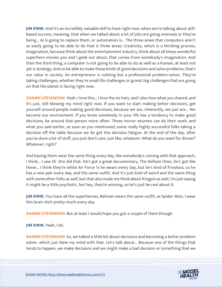**JIM KWIK:** And it's an incredibly valuable skill to have right now, when we're talking about skillbased success, meaning, that when we talked about a lot of jobs are going overseas or they're being... AI is going to replace them, or automation is... The three areas that computers aren't as easily going to be able to do that is three areas: Creativity, which is a thinking process. Imagination, because think about the entertainment industry, think about all these wonderful superhero movies you and I geek out about, that comes from somebody's imagination. And then the third thing, a computer is not going to be able to do as well as a human, at least not yet is strategy. And so be able to make these kinds of good decisions and solve problems, that's our value in society. An entrepreneur is nothing but a professional problem-solver. They're taking challenges, whether they're small life challenges or grand, big challenges that are going on that the planet is facing right now.

**SHAWN STEVENSON:** Yeah. I love this... I love the six hats, and I also love what you shared, and it's just, still blowing my mind right now. If you want to start making better decisions, get yourself around people making good decisions, because we are, inherently, we just are... We become our environment. If you know somebody in your life has a tendency to make good decisions, be around that person more often. Those mirror neurons can do their work, and what you said earlier, as soon as you mentioned, some really highly successful folks taking a decision off the table because we do get this decision fatigue. At the end of the day, after you've done a lot of stuff, you just don't care. Just like, whatever. What do you want for dinner? Whatever, right?

And having them wear the same thing every day, like somebody's coming with that approach, I think... I saw Dr. Dre did that. He's got a great documentary, The Defiant Ones, he's got like these... I think they're white Air Force 1s he wears every day, but he's kind of frivolous, so he has a new pair every day, and the same outfit. And it's just kind of weird and the same thing with some other folks as well, but that also made me think about Kingpin as well. I'm just saying it might be a little psychotic, but hey, they're winning, so let's just be real about it.

**JIM KWIK:** You have all the superheroes, Batman wears the same outfit, as Spider-Man, I wear this brain shirt pretty much every day.

**SHAWN STEVENSON:** But at least I would hope you got a couple of them though.

**JIM KWIK:** Yeah, I do.

**SHAWN STEVENSON:** So, we talked a little bit about decisions and becoming a better problem solver, which just blew my mind with that. Let's talk about... Because one of the things that tends to happen, we make decisions and we might make a bad decision or something that we

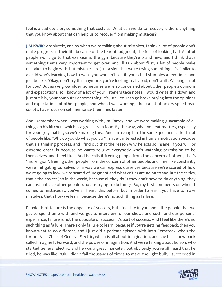feel is a bad decision, something that costs us. What can we do to recover, is there anything that you know about that can help us to recover from making mistakes?

**JIM KWIK:** Absolutely, and so when we're talking about mistakes, I think a lot of people don't make progress in their life because of the fear of judgment, the fear of looking bad. A lot of people won't go to that exercise at the gym because they're brand new, and I think that's something that's very important to get over, and I'll talk about first, a lot of people make mistakes to begin with, but mistakes are just a sign that we're trying something. It's similar to a child who's learning how to walk, you wouldn't see it, your child stumbles a few times and just be like, "Okay, don't try this anymore, you're looking really bad, don't walk. Walking is not for you." But as we grow older, sometimes we're so concerned about other people's opinions and expectations, so I know of a lot of your listeners take notes, I would write this down and just put it by your computer or something, it's just... You can go broke buying into the opinions and expectations of other people, and when I was working, I help a lot of actors speed read scripts, have focus on set, memorize their lines faster.

And I remember when I was working with Jim Carrey, and we were making guacamole of all things in his kitchen, which is a great brain food. By the way, what you eat matters, especially for your gray matter, so we're making this... And I'm asking him the same question I asked a lot of people like, "Why do you do what you do?" I'm very interested in human motivation because that's a thinking process, and I find out that the reason why he acts so insane, if you will, or extreme onset, is because he wants to give everybody who's watching permission to be themselves, and I feel like... And he calls it freeing people from the concern of others, that's "his religion", freeing other people from the concern of other people, and I feel like constantly we're mitigating ourselves or a way we can express ourselves because we're scared of how we're going to look, we're scared of judgment and what critics are going to say. But the critics, that's the easiest job in the world, because all they do is they don't have to do anything, they can just criticize other people who are trying to do things. So, my first comments on when it comes to mistakes is, you've all heard this before, but in order to learn, you have to make mistakes, that's how we learn, because there's no such thing as failure.

People think failure is the opposite of success, but I feel like in you and I, the people that we get to spend time with and we get to interview for our shows and such, and our personal experience, failure is not the opposite of success. It's part of success. And I feel like there's no such thing as failure. There's only failure to learn, because if you're getting feedback, then you know what to do different, and I just did a podcast episode with Beth Comstock, who's the former Vice Chair of General Electric, which is all about imagination, and she has a new book called Imagine It Forward, and the power of imagination. And we're talking about Edison, who started General Electric, and he was a great marketer, but obviously you've all heard that he [tried, he was like, "Oh, I didn](https://themodelhealthshow.com/increase-focus/)'[t fail thousands of times to make the light bulb, I succeeded in](https://themodelhealthshow.com/increase-focus/) 

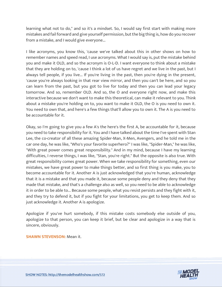learning what not to do," and so it's a mindset. So, I would say first start with making more mistakes and fail forward and give yourself permission, but the big thing is, how do you recover from a mistake, and I would give everyone...

I like acronyms, you know this, 'cause we've talked about this in other shows on how to remember names and speed read, I use acronyms. What I would say is, put the mistake behind you and make it OLD, and so the acronym is O-L-D. I want everyone to think about a mistake that they are holding on to, 'cause I think a lot of us have regret and we live in the past, but I always tell people, if you live... If you're living in the past, then you're dying in the present, 'cause you're always looking in that rear view mirror, and then you can't be here, and so you can learn from the past, but you got to live for today and then you can lead your legacy tomorrow. And so, remember OLD. And so, the O and everyone right now, and make this interactive because we don't want to make this theoretical, can make it relevant to you. Think about a mistake you're holding on to, you want to make it OLD, the O is you need to own it. You need to own that, and here's a few things that'll allow you to own it. The A is you need to be accountable for it.

Okay, so I'm going to give you a few A's the here's the first A, be accountable for it, because you need to take responsibility for it. You and I have talked about the time I've spent with Stan Lee, the co-creator of all these amazing Spider-Man, X-Men, Avengers, and he told me in the car one day, he was like, "Who's your favorite superhero?" I was like, "Spider-Man," he was like, "With great power comes great responsibility." And in my mind, because I have my learning difficulties, I reverse things, I was like, "Stan, you're right." But the opposite is also true. With great responsibility comes great power. When we take responsibility for something, even our mistakes, we have great power to make things better, and so first thing is you make, you to become accountable for it. Another A is just acknowledged that you're human, acknowledge that it is a mistake and that you made it, because some people deny and they deny that they made that mistake, and that's a challenge also as well, so you need to be able to acknowledge it in order to be able to... Because some people, what you resist persists and they fight with it, and they try to defend it, but if you fight for your limitations, you get to keep them. And so just acknowledge it. Another A is apologize.

Apologize if you've hurt somebody, if this mistake costs somebody else outside of you, apologize to that person, you can keep it brief, but be clear and apologize in a way that is sincere, obviously.

#### **SHAWN STEVENSON:** Mean it.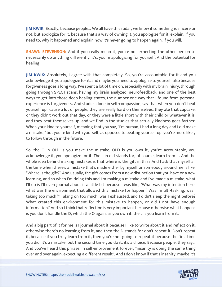**JIM KWIK:** Exactly, because people... We all have this radar, we know if something is sincere or not, but apologize for it, because that's a way of owning it, you apologize for it, explain, if you need to, why it happened and explain how it's never going to happen again. If you will.

**SHAWN STEVENSON:** And if you really mean it, you're not expecting the other person to necessarily do anything differently, it's, you're apologizing for yourself. And the potential for healing.

**JIM KWIK:** Absolutely, I agree with that completely. So, you're accountable for it and you acknowledge it, you apologize for it, and maybe you need to apologize to yourself also because forgiveness goes a long way. I've spent a lot of time on, especially with my brain injury, through going through SPECT scans, having my brain analyzed, neurofeedback, and one of the best ways to get into those deep healing states, the number one way that I found from personal experience is forgiveness. And studies done in self-compassion, say that when you don't beat yourself up, 'cause a lot of people, they are really hard on themselves, they ate that cupcake, or they didn't work out that day, or they were a little short with their child or whatever it is, and they beat themselves up, and we find in the studies that actually kindness goes farther. When your kind to yourself, meaning that you say, "I'm human, I had a long day and I did make a mistake," but you're kind with yourself, as opposed to beating yourself up, you're more likely to follow through in the future.

So, the O in OLD is you make the mistake, OLD is you own it, you're accountable, you acknowledge it, you apologize for it. The L in old stands for, of course, learn from it. And the whole idea behind making mistakes is that where is the gift in this? And I ask that myself all the time when there's a mistake that's made either by myself or somebody around me is like, "Where is the gift?" And usually, the gift comes from a new distinction that you have or a new learning, and so when I'm doing this and I'm making a mistake and I've made a mistake, what I'll do is I'll even journal about it a little bit because I was like, "What was my intention here, what was the environment that allowed this mistake for happen? Was I multi-tasking, was I taking too much?" Taking on too much, was I exhausted, and I didn't sleep the night before? What created this environment for this mistake to happen, or did I not have enough information? And so I think that reflection is very important because otherwise what happens is you don't handle the D, which the O again, as you own it, the L is you learn from it.

And a big part of it for me is I journal about it because I like to write about it and reflect on it, otherwise there's no learning from it, and then the D stands for don't repeat it. Don't repeat it, because if you truly learn from it, then you're not going to repeat it because the first time you did, it's a mistake, but the second time you do it, it's a choice. Because people, they say... And you've heard this phrase, in self-improvement forever, "insanity is doing the same thing [over and over again, expecting a different result". And I don](https://themodelhealthshow.com/increase-focus/)'[t know if that](https://themodelhealthshow.com/increase-focus/)'[s insanity, maybe it](https://themodelhealthshow.com/increase-focus/)'[s](https://themodelhealthshow.com/increase-focus/)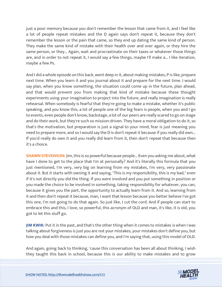just a poor memory because you don't remember the lesson that came from it, and I feel like a lot of people repeat mistakes and the D again says don't repeat it, because they don't remember the lesson or the pain that came, so they end up dating the same kind of person. They make the same kind of mistake with their health over and over again, or they hire the same person, or they... Again, wait and procrastinate on their taxes or whatever those things are, and in order to not repeat it, I would say a few things, maybe I'll make a... I like iteration, maybe a few Ps.

And I did a whole episode on this back, went deep in it, about making mistakes, P is like, prepare next time. When you learn it and you journal about it and prepare for the next time. I would say plan, when you know something, the situation could come up in the future, plan ahead, and that would prevent you from making that kind of mistake because these thought experiments using your imagination to project into the future, and really imagination is really rehearsal. When somebody is fearful that they're going to make a mistake, whether it's public speaking, and you know this, a lot of people one of the big fears is people, when you and I go to events, even people don't know, backstage, a lot of our peers are really scared to go on stage and do their work, but they're such so mission-driven. They have a moral obligation to do it, so that's the motivation, but preparation is just a signal to your mind, fear is just meaning you need to prepare more, and so I would say the D is don't repeat it because if you really did own... If you'd really do own it and you really did learn from it, then don't repeat that because then it's a choice.

**SHAWN STEVENSON:** Jim, this is so powerful because people... Even you asking me about, what have I done to get to the place that I'm at personally? And it's literally this formula that you just mentioned, I'm very, very big on learning from my mistakes, I'm very, very passionate about it. But it starts with owning it and saying, "This is my responsibility, this is my bad," even if it's not directly you did the thing. If you were involved and you put something in position or you made the choice to be involved in something, taking responsibility for whatever, you can, because it gives you the part, the opportunity to actually learn from it. And so, learning from it and then don't repeat it because, man, I want that lesson because you better believe I've got this one, I'm not going to do that again. So just like, I cut the cord. And if people can start to embrace this and this, I love, so powerful, this acronym of OLD and man, it's like, it is old, you got to let this stuff go.

**JIM KWIK:** Put it in the past, and that's the other thing when it comes to mistakes is when I was talking about forgiveness is just you are not your mistakes, your mistakes don't define you, but how you deal with those mistakes can define you, and I'm saying that, using this model of OLD.

And again, going back to thinking, 'cause this conversation has been all about thinking, I wish [they taught this back in school, because this is our ability to make mistakes and to grow](https://themodelhealthshow.com/increase-focus/)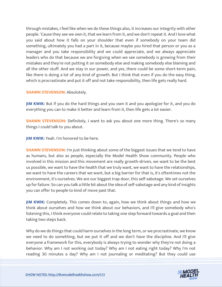through mistakes, I feel like when we do these things also, it increases our integrity with other people. 'Cause they see we own it, that we learn from it, and we don't repeat it. And I love what you said about how it falls on your shoulder that even if somebody on your team did something, ultimately you had a part in it, because maybe you hired that person or you as a manager and you take responsibility and we could appreciate, and we always appreciate leaders who do that because we are forgiving when we see somebody is growing from their mistakes and they're not putting it on somebody else and making somebody else blaming and all the other stuff. And we stay in our power, and yes, there could be some short-term pain, like there is doing a lot of any kind of growth. But I think that even if you do the easy thing, which is procrastinate and put it off and not take responsibility, then life gets really hard.

# **SHAWN STEVENSON: Absolutely.**

**JIM KWIK:** But if you do the hard things and you own it and you apologize for it, and you do everything you can to make it better and learn from it, then life gets a lot easier.

**SHAWN STEVENSON:** Definitely, I want to ask you about one more thing. There's so many things I could talk to you about.

**JIM KWIK:** Yeah. I'm honored to be here.

**SHAWN STEVENSON:** I'm just thinking about some of the biggest issues that we tend to have as humans, but also as people, especially the Model Health Show community. People who involved in this mission and this movement are really growth-driven, we want to be the best us possible, we want to have the health that we truly want, we want to have the relationships, we want to have the careers that we want, but a big barrier for that is, it's oftentimes not the environment, it's ourselves. We are our biggest trap door, this self-sabotage. We set ourselves up for failure. So can you talk a little bit about the idea of self-sabotage and any kind of insights you can offer to people to kind of move past that.

**JIM KWIK:** Completely. This comes down to, again, how we think about things and how we think about ourselves and how we think about our behaviors, and I'll give somebody who's listening this, I think everyone could relate to taking one step forward towards a goal and then taking two steps back.

Why do we do things that could harm ourselves in the long term, or we procrastinate, we know we need to do something, but we put it off and we don't have the discipline. And I'll give everyone a framework for this, everybody is always trying to wonder why they're not doing a behavior. Why am I not working out today? Why am I not eating right today? Why I'm not [reading 30 minutes a day? Why am I not journaling or meditating? But they could use](https://themodelhealthshow.com/increase-focus/)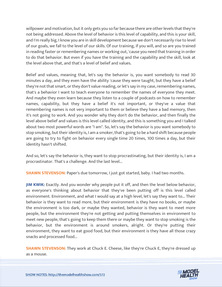willpower and motivation, but it only gets you so far because there are other levels that they're not being addressed. Above the level of behavior is this level of capability, and this is your skill, and I'm really big, I know you are in skill development because we don't necessarily rise to level of our goals, we fall to the level of our skills. Of our training, if you will, and so are you trained in reading faster or remembering names or working out, 'cause you need that training in order to do that behavior. But even if you have the training and the capability and the skill, look at the level above that, and that's a level of belief and values.

Belief and values, meaning that, let's say the behavior is, you want somebody to read 30 minutes a day, and they even have the ability 'cause they were taught, but they have a belief they're not that smart, or they don't value reading, or let's say in my case, remembering names, that's a behavior I want to teach everyone to remember the names of everyone they meet. And maybe they even learn because they listen to a couple of podcasts on how to remember names, capability, but they have a belief it's not important, or they've a value that remembering names is not very important to them or believe they have a bad memory, then it's not going to work. And you wonder why they don't do the behavior, and then finally the level above belief and values is this level called identity, and this is something you and I talked about two most powerful words are "I am". So, let's say the behavior is you want somebody to stop smoking, but their identity is, I am a smoker, that's going to be a hard shift because people are going to try to fight on behavior every single time 20 times, 100 times a day, but their identity hasn't shifted.

And so, let's say the behavior is, they want to stop procrastinating, but their identity is, I am a procrastinator. That's a challenge. And the last level...

**SHAWN STEVENSON:** Paper's due tomorrow, I just got started, baby. I had two months.

**JIM KWIK:** Exactly. And you wonder why people put it off, and then the level below behavior, as everyone's thinking about behavior that they've been putting off is this level called environment. Environment, and what I would say at a high level, let's say they want to... Their behavior is they want to read more, but their environment is they have no books, or maybe the environment is too dark, or maybe they wanted, behavior is they want to meet more people, but the environment they're not getting and putting themselves in environment to meet new people, that's going to keep them there or maybe they want to stop smoking is the behavior, but the environment is around smokers, alright. Or they're putting their environment, they want to eat good food, but their environment is they have all those crazy snacks and processed food...

**SHAWN STEVENSON:** They work at Chuck E. Cheese, like they're Chuck E, they're dressed up [as a mouse.](https://themodelhealthshow.com/increase-focus/)

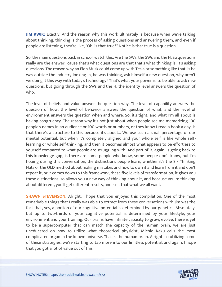**JIM KWIK:** Exactly. And the reason why this work ultimately is because when we're talking about thinking, thinking is the process of asking questions and answering them, and even if people are listening, they're like, "Oh, is that true?" Notice is that true is a question.

So, the main questions back in school, watch this. Are the 5Ws, the 5Ws and the H. So questions really are the answer, 'cause that's what questions are that that's what thinking is, it's asking questions. The reason why an Elon Musk could come up with Tesla or something like that, is he was outside the industry looking in, he was thinking, ask himself a new question, why aren't we doing it this way with today's technology? That's what your power is, to be able to ask new questions, but going through the 5Ws and the H, the identity level answers the question of who.

The level of beliefs and value answer the question why. The level of capability answers the question of how, the level of behavior answers the question of what, and the level of environment answers the question when and where. So, it's tight, and what I'm all about is having congruency. The reason why it's not just about when people see me memorizing 100 people's names in an audience or 100 words or numbers, or they know I read a book a day, is that there's a structure to this because it's about... We use such a small percentage of our mental potential, but when it's completely aligned and your whole self is like whole selflearning or whole self-thinking, and then it becomes almost what appears to be effortless to yourself compared to what people are struggling with. And part of it, again, is going back to this knowledge gap, is there are some people who know, some people don't know, but I'm hoping during this conversation, the distinctions people learn, whether it's the Six Thinking Hats or the OLD method about making mistakes and how to own it and learn from it and don't repeat it, or it comes down to this framework, these five levels of transformation, it gives you these distinctions, so allows you a new way of thinking about it, and because you're thinking about different, you'll get different results, and isn't that what we all want.

**SHAWN STEVENSON:** Alright, I hope that you enjoyed this compilation. One of the most remarkable things that I really was able to extract from these conversations with Jim was the fact that, yes, a portion of our cognitive potential is determined by our genetics. Absolutely, but up to two-thirds of your cognitive potential is determined by your lifestyle, your environment and your training. Our brains have infinite capacity to grow, evolve, there is yet to be a supercomputer that can match the capacity of the human brain, we are just uneducated on how to utilize what theoretical physicist, Michio Kaku calls the most complicated organ in the known universe. That is the human brain. Alright, so utilizing some of these strategies, we're starting to tap more into our limitless potential, and again, I hope that you got a lot of value out of this.